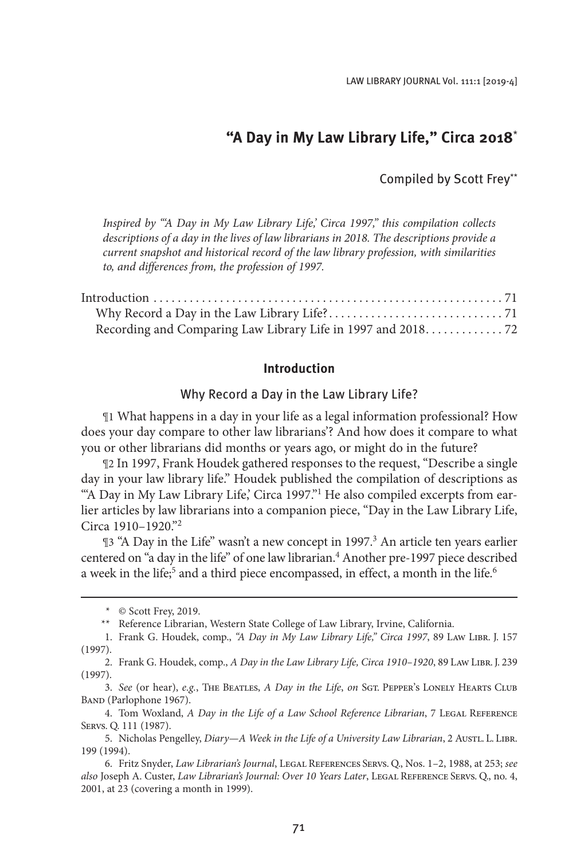# **"A Day in My Law Library Life," Circa 2018**\*

## Compiled by Scott Frey\*\*

*Inspired by "'A Day in My Law Library Life,' Circa 1997," this compilation collects descriptions of a day in the lives of law librarians in 2018. The descriptions provide a current snapshot and historical record of the law library profession, with similarities to, and differences from, the profession of 1997.*

| Recording and Comparing Law Library Life in 1997 and 2018. 72 |  |
|---------------------------------------------------------------|--|

## **Introduction**

## Why Record a Day in the Law Library Life?

¶1 What happens in a day in your life as a legal information professional? How does your day compare to other law librarians'? And how does it compare to what you or other librarians did months or years ago, or might do in the future?

¶2 In 1997, Frank Houdek gathered responses to the request, "Describe a single day in your law library life." Houdek published the compilation of descriptions as "A Day in My Law Library Life,' Circa 1997."<sup>1</sup> He also compiled excerpts from earlier articles by law librarians into a companion piece, "Day in the Law Library Life, Circa 1910–1920."2

¶3 "A Day in the Life" wasn't a new concept in 1997.<sup>3</sup> An article ten years earlier centered on "a day in the life" of one law librarian.<sup>4</sup> Another pre-1997 piece described a week in the life;<sup>5</sup> and a third piece encompassed, in effect, a month in the life.<sup>6</sup>

<sup>\*</sup> © Scott Frey, 2019.

<sup>\*\*</sup> Reference Librarian, Western State College of Law Library, Irvine, California.

<sup>1.</sup> Frank G. Houdek, comp., *"A Day in My Law Library Life," Circa 1997*, 89 Law Libr. J. 157 (1997).

<sup>2.</sup> Frank G. Houdek, comp., *A Day in the Law Library Life, Circa 1910-1920*, 89 Law LIBR. J. 239 (1997).

<sup>3.</sup> *See* (or hear), *e.g.*, The Beatles, *A Day in the Life*, *on* Sgt. Pepper's Lonely Hearts Club BAND (Parlophone 1967).

<sup>4.</sup> Tom Woxland, *A Day in the Life of a Law School Reference Librarian*, 7 Legal Reference Servs. Q. 111 (1987).

<sup>5.</sup> Nicholas Pengelley, *Diary—A Week in the Life of a University Law Librarian*, 2 AustL. L. LIBR. 199 (1994).

<sup>6.</sup> Fritz Snyder, *Law Librarian's Journal*, Legal References Servs. Q., Nos. 1–2, 1988, at 253; *see also* Joseph A. Custer, *Law Librarian's Journal: Over 10 Years Later*, Legal Reference Servs. Q., no. 4, 2001, at 23 (covering a month in 1999).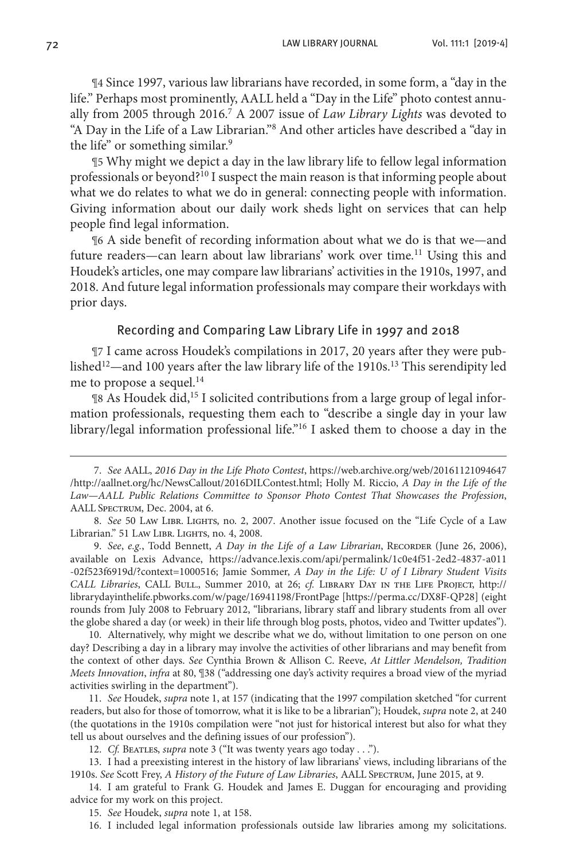¶4 Since 1997, various law librarians have recorded, in some form, a "day in the life." Perhaps most prominently, AALL held a "Day in the Life" photo contest annually from 2005 through 2016.7 A 2007 issue of *Law Library Lights* was devoted to "A Day in the Life of a Law Librarian."<sup>8</sup> And other articles have described a "day in the life" or something similar.<sup>9</sup>

¶5 Why might we depict a day in the law library life to fellow legal information professionals or beyond?<sup>10</sup> I suspect the main reason is that informing people about what we do relates to what we do in general: connecting people with information. Giving information about our daily work sheds light on services that can help people find legal information.

¶6 A side benefit of recording information about what we do is that we—and future readers—can learn about law librarians' work over time.<sup>11</sup> Using this and Houdek's articles, one may compare law librarians' activities in the 1910s, 1997, and 2018. And future legal information professionals may compare their workdays with prior days.

## Recording and Comparing Law Library Life in 1997 and 2018

¶7 I came across Houdek's compilations in 2017, 20 years after they were published<sup>12</sup>—and 100 years after the law library life of the 1910s.<sup>13</sup> This serendipity led me to propose a sequel. $14$ 

¶8 As Houdek did,15 I solicited contributions from a large group of legal information professionals, requesting them each to "describe a single day in your law library/legal information professional life."16 I asked them to choose a day in the

10. Alternatively, why might we describe what we do, without limitation to one person on one day? Describing a day in a library may involve the activities of other librarians and may benefit from the context of other days. *See* Cynthia Brown & Allison C. Reeve, *At Littler Mendelson, Tradition Meets Innovation*, *infra* at 80, ¶38 ("addressing one day's activity requires a broad view of the myriad activities swirling in the department").

11. *See* Houdek, *supra* note 1, at 157 (indicating that the 1997 compilation sketched "for current readers, but also for those of tomorrow, what it is like to be a librarian"); Houdek, *supra* note 2, at 240 (the quotations in the 1910s compilation were "not just for historical interest but also for what they tell us about ourselves and the defining issues of our profession").

12. *Cf.* BEATLES, *supra* note 3 ("It was twenty years ago today . . .").

13. I had a preexisting interest in the history of law librarians' views, including librarians of the 1910s. *See* Scott Frey, *A History of the Future of Law Libraries*, AALL Spectrum, June 2015, at 9.

14. I am grateful to Frank G. Houdek and James E. Duggan for encouraging and providing advice for my work on this project.

15. *See* Houdek, *supra* note 1, at 158.

16. I included legal information professionals outside law libraries among my solicitations.

<sup>7.</sup> *See* AALL, *2016 Day in the Life Photo Contest*, https://web.archive.org/web/20161121094647 /http://aallnet.org/hc/NewsCallout/2016DILContest.html; Holly M. Riccio, *A Day in the Life of the Law—AALL Public Relations Committee to Sponsor Photo Contest That Showcases the Profession*, AALL Spectrum, Dec. 2004, at 6.

<sup>8.</sup> *See* 50 Law Libr. Lights, no. 2, 2007. Another issue focused on the "Life Cycle of a Law Librarian." 51 LAW LIBR. LIGHTS, no. 4, 2008.

<sup>9.</sup> *See*, *e.g.*, Todd Bennett, *A Day in the Life of a Law Librarian*, RECORDER (June 26, 2006), available on Lexis Advance, https://advance.lexis.com/api/permalink/1c0e4f51-2ed2-4837-a011 -02f523f6919d/?context=1000516; Jamie Sommer, *A Day in the Life: U of I Library Student Visits CALL Libraries*, CALL Bull., Summer 2010, at 26; *cf.* Library Day in the Life Project, http:// librarydayinthelife.pbworks.com/w/page/16941198/FrontPage [https://perma.cc/DX8F-QP28] (eight rounds from July 2008 to February 2012, "librarians, library staff and library students from all over the globe shared a day (or week) in their life through blog posts, photos, video and Twitter updates").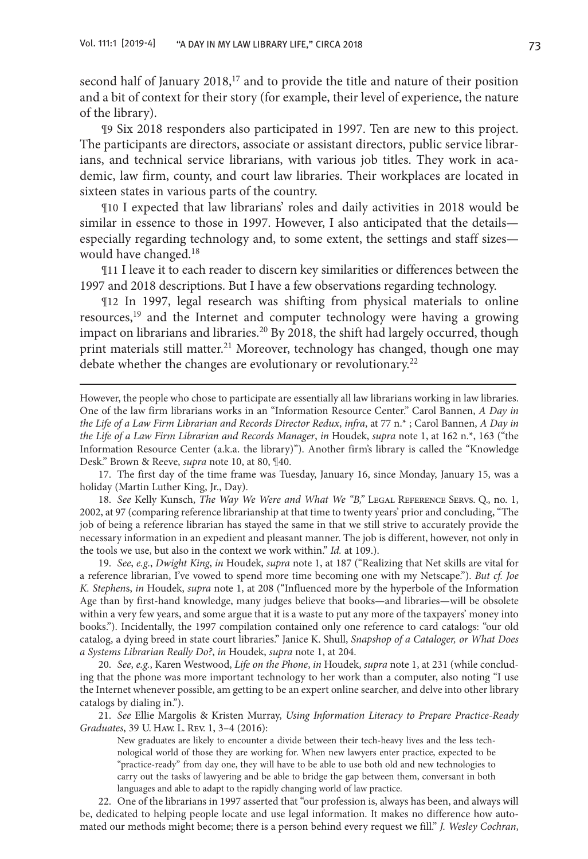second half of January 2018,<sup>17</sup> and to provide the title and nature of their position and a bit of context for their story (for example, their level of experience, the nature of the library).

¶9 Six 2018 responders also participated in 1997. Ten are new to this project. The participants are directors, associate or assistant directors, public service librarians, and technical service librarians, with various job titles. They work in academic, law firm, county, and court law libraries. Their workplaces are located in sixteen states in various parts of the country.

¶10 I expected that law librarians' roles and daily activities in 2018 would be similar in essence to those in 1997. However, I also anticipated that the details especially regarding technology and, to some extent, the settings and staff sizes would have changed.<sup>18</sup>

¶11 I leave it to each reader to discern key similarities or differences between the 1997 and 2018 descriptions. But I have a few observations regarding technology.

¶12 In 1997, legal research was shifting from physical materials to online resources,<sup>19</sup> and the Internet and computer technology were having a growing impact on librarians and libraries.<sup>20</sup> By 2018, the shift had largely occurred, though print materials still matter.<sup>21</sup> Moreover, technology has changed, though one may debate whether the changes are evolutionary or revolutionary.<sup>22</sup>

18. *See* Kelly Kunsch, *The Way We Were and What We "B,"* Legal Reference Servs. Q., no. 1, 2002, at 97 (comparing reference librarianship at that time to twenty years' prior and concluding, "The job of being a reference librarian has stayed the same in that we still strive to accurately provide the necessary information in an expedient and pleasant manner. The job is different, however, not only in the tools we use, but also in the context we work within." *Id.* at 109.).

19. *See*, *e.g.*, *Dwight King*, *in* Houdek, *supra* note 1, at 187 ("Realizing that Net skills are vital for a reference librarian, I've vowed to spend more time becoming one with my Netscape."). *But cf. Joe K. Stephen*s, *in* Houdek, *supra* note 1, at 208 ("Influenced more by the hyperbole of the Information Age than by first-hand knowledge, many judges believe that books—and libraries—will be obsolete within a very few years, and some argue that it is a waste to put any more of the taxpayers' money into books."). Incidentally, the 1997 compilation contained only one reference to card catalogs: "our old catalog, a dying breed in state court libraries." Janice K. Shull, *Snapshop of a Cataloger, or What Does a Systems Librarian Really Do?*, *in* Houdek, *supra* note 1, at 204.

20. *See*, *e.g.*, Karen Westwood, *Life on the Phone*, *in* Houdek, *supra* note 1, at 231 (while concluding that the phone was more important technology to her work than a computer, also noting "I use the Internet whenever possible, am getting to be an expert online searcher, and delve into other library catalogs by dialing in.").

21. *See* Ellie Margolis & Kristen Murray, *Using Information Literacy to Prepare Practice-Ready Graduates*, 39 U. Haw. L. Rev. 1, 3–4 (2016):

New graduates are likely to encounter a divide between their tech-heavy lives and the less technological world of those they are working for. When new lawyers enter practice, expected to be "practice-ready" from day one, they will have to be able to use both old and new technologies to carry out the tasks of lawyering and be able to bridge the gap between them, conversant in both languages and able to adapt to the rapidly changing world of law practice.

22. One of the librarians in 1997 asserted that "our profession is, always has been, and always will be, dedicated to helping people locate and use legal information. It makes no difference how automated our methods might become; there is a person behind every request we fill." *J. Wesley Cochran*,

However, the people who chose to participate are essentially all law librarians working in law libraries. One of the law firm librarians works in an "Information Resource Center." Carol Bannen, *A Day in the Life of a Law Firm Librarian and Records Director Redux*, *infra*, at 77 n.\* ; Carol Bannen, *A Day in the Life of a Law Firm Librarian and Records Manager*, *in* Houdek, *supra* note 1, at 162 n.\*, 163 ("the Information Resource Center (a.k.a. the library)"). Another firm's library is called the "Knowledge Desk." Brown & Reeve, *supra* note 10, at 80, ¶40.

<sup>17.</sup> The first day of the time frame was Tuesday, January 16, since Monday, January 15, was a holiday (Martin Luther King, Jr., Day).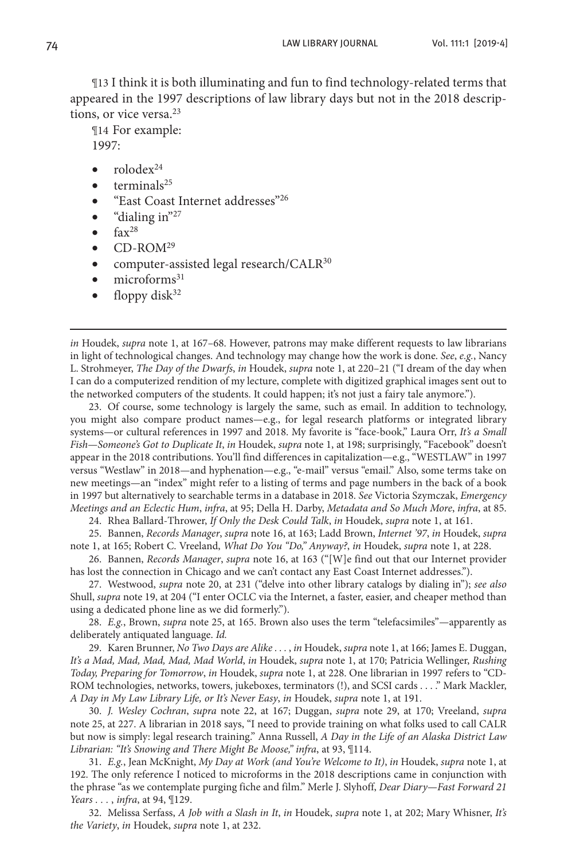¶13 I think it is both illuminating and fun to find technology-related terms that appeared in the 1997 descriptions of law library days but not in the 2018 descriptions, or vice versa.<sup>23</sup>

¶14 For example: 1997:

- $r$ olode $x^{24}$
- $terminals<sup>25</sup>$
- "East Coast Internet addresses"<sup>26</sup>
- "dialing in" $27$
- $\bullet$  fax<sup>28</sup>
- $\bullet$  CD-ROM<sup>29</sup>
- computer-assisted legal research/CALR $^{30}$
- $\bullet$  microforms<sup>31</sup>
- $\bullet$  floppy disk<sup>32</sup>

*in* Houdek, *supra* note 1, at 167–68. However, patrons may make different requests to law librarians in light of technological changes. And technology may change how the work is done. *See*, *e.g.*, Nancy L. Strohmeyer, *The Day of the Dwarfs*, *in* Houdek, *supra* note 1, at 220–21 ("I dream of the day when I can do a computerized rendition of my lecture, complete with digitized graphical images sent out to the networked computers of the students. It could happen; it's not just a fairy tale anymore.").

23. Of course, some technology is largely the same, such as email. In addition to technology, you might also compare product names—e.g., for legal research platforms or integrated library systems—or cultural references in 1997 and 2018. My favorite is "face-book," Laura Orr, *It's a Small Fish—Someone's Got to Duplicate It*, *in* Houdek, *supra* note 1, at 198; surprisingly, "Facebook" doesn't appear in the 2018 contributions. You'll find differences in capitalization—e.g., "WESTLAW" in 1997 versus "Westlaw" in 2018—and hyphenation—e.g., "e-mail" versus "email." Also, some terms take on new meetings—an "index" might refer to a listing of terms and page numbers in the back of a book in 1997 but alternatively to searchable terms in a database in 2018. *See* Victoria Szymczak, *Emergency Meetings and an Eclectic Hum*, *infra*, at 95; Della H. Darby, *Metadata and So Much More*, *infra*, at 85.

24. Rhea Ballard-Thrower, *If Only the Desk Could Talk*, *in* Houdek, *supra* note 1, at 161.

25. Bannen, *Records Manager*, *supra* note 16, at 163; Ladd Brown, *Internet '97*, *in* Houdek, *supra* note 1, at 165; Robert C. Vreeland, *What Do You "Do," Anyway?*, *in* Houdek, *supra* note 1, at 228.

26. Bannen, *Records Manager*, *supra* note 16, at 163 ("[W]e find out that our Internet provider has lost the connection in Chicago and we can't contact any East Coast Internet addresses.").

27. Westwood, *supra* note 20, at 231 ("delve into other library catalogs by dialing in"); *see also* Shull, *supra* note 19, at 204 ("I enter OCLC via the Internet, a faster, easier, and cheaper method than using a dedicated phone line as we did formerly.").

28. *E.g.*, Brown, *supra* note 25, at 165. Brown also uses the term "telefacsimiles"—apparently as deliberately antiquated language. *Id.*

29. Karen Brunner, *No Two Days are Alike . . .* , *in* Houdek, *supra* note 1, at 166; James E. Duggan, *It's a Mad, Mad, Mad, Mad, Mad World*, *in* Houdek, *supra* note 1, at 170; Patricia Wellinger, *Rushing Today, Preparing for Tomorrow*, *in* Houdek, *supra* note 1, at 228. One librarian in 1997 refers to "CD-ROM technologies, networks, towers, jukeboxes, terminators (!), and SCSI cards . . . ." Mark Mackler, *A Day in My Law Library Life, or It's Never Easy*, *in* Houdek, *supra* note 1, at 191.

30. *J. Wesley Cochran*, *supra* note 22, at 167; Duggan, *supra* note 29, at 170; Vreeland, *supra* note 25, at 227. A librarian in 2018 says, "I need to provide training on what folks used to call CALR but now is simply: legal research training." Anna Russell, *A Day in the Life of an Alaska District Law Librarian: "It's Snowing and There Might Be Moose," infra*, at 93, ¶114.

31. *E.g.*, Jean McKnight, *My Day at Work (and You're Welcome to It)*, *in* Houdek, *supra* note 1, at 192. The only reference I noticed to microforms in the 2018 descriptions came in conjunction with the phrase "as we contemplate purging fiche and film." Merle J. Slyhoff, *Dear Diary—Fast Forward 21 Years . . .* , *infra*, at 94, ¶129.

32. Melissa Serfass, *A Job with a Slash in It*, *in* Houdek, *supra* note 1, at 202; Mary Whisner, *It's the Variety*, *in* Houdek, *supra* note 1, at 232.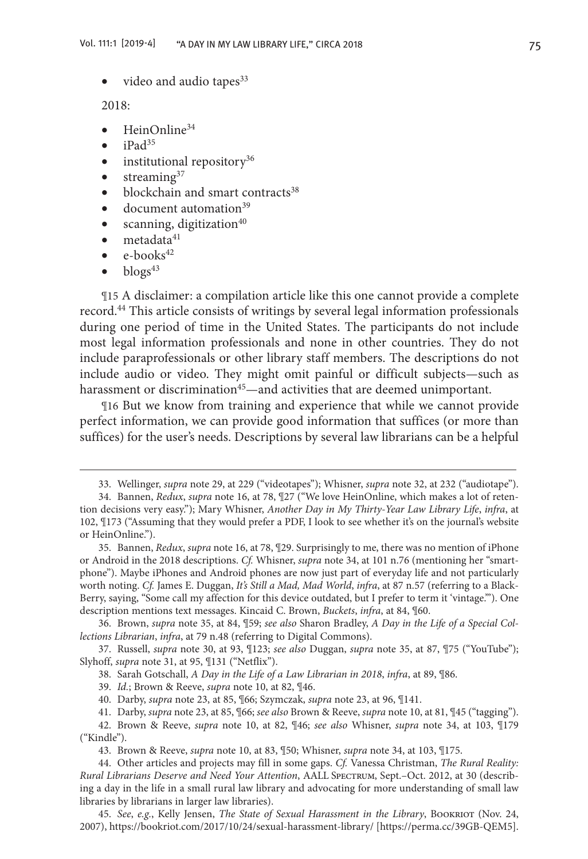• video and audio tapes $33$ 

2018:

- $HeinOnline<sup>34</sup>$
- $\bullet$  iPad<sup>35</sup>
- $\bullet$  institutional repository<sup>36</sup>
- $\bullet$  streaming<sup>37</sup>
- blockchain and smart contracts<sup>38</sup>
- document automation<sup>39</sup>
- scanning, digitization $40$
- $\bullet$  metadata<sup>41</sup>
- $\bullet$  e-books<sup>42</sup>
- $\bullet$  blogs<sup>43</sup>

¶15 A disclaimer: a compilation article like this one cannot provide a complete record.<sup>44</sup> This article consists of writings by several legal information professionals during one period of time in the United States. The participants do not include most legal information professionals and none in other countries. They do not include paraprofessionals or other library staff members. The descriptions do not include audio or video. They might omit painful or difficult subjects—such as harassment or discrimination<sup>45</sup>—and activities that are deemed unimportant.

¶16 But we know from training and experience that while we cannot provide perfect information, we can provide good information that suffices (or more than suffices) for the user's needs. Descriptions by several law librarians can be a helpful

36. Brown, *supra* note 35, at 84, ¶59; *see also* Sharon Bradley, *A Day in the Life of a Special Collections Librarian*, *infra*, at 79 n.48 (referring to Digital Commons).

37. Russell, *supra* note 30, at 93, ¶123; *see also* Duggan, *supra* note 35, at 87, ¶75 ("YouTube"); Slyhoff, *supra* note 31, at 95, ¶131 ("Netflix").

38. Sarah Gotschall, *A Day in the Life of a Law Librarian in 2018*, *infra*, at 89, ¶86.

39. *Id.*; Brown & Reeve, *supra* note 10, at 82, ¶46.

41. Darby, *supra* note 23, at 85, ¶66; *see also* Brown & Reeve, *supra* note 10, at 81, ¶45 ("tagging").

<sup>33.</sup> Wellinger, *supra* note 29, at 229 ("videotapes"); Whisner, *supra* note 32, at 232 ("audiotape").

<sup>34.</sup> Bannen, *Redux*, *supra* note 16, at 78, ¶27 ("We love HeinOnline, which makes a lot of retention decisions very easy."); Mary Whisner, *Another Day in My Thirty-Year Law Library Life*, *infra*, at 102, ¶173 ("Assuming that they would prefer a PDF, I look to see whether it's on the journal's website or HeinOnline.").

<sup>35.</sup> Bannen, *Redux*, *supra* note 16, at 78, ¶29. Surprisingly to me, there was no mention of iPhone or Android in the 2018 descriptions. *Cf.* Whisner, *supra* note 34, at 101 n.76 (mentioning her "smartphone"). Maybe iPhones and Android phones are now just part of everyday life and not particularly worth noting. *Cf.* James E. Duggan, *It's Still a Mad, Mad World*, *infra*, at 87 n.57 (referring to a Black-Berry, saying, "Some call my affection for this device outdated, but I prefer to term it 'vintage.'"). One description mentions text messages. Kincaid C. Brown, *Buckets*, *infra*, at 84, ¶60.

<sup>40.</sup> Darby, *supra* note 23, at 85, ¶66; Szymczak, *supra* note 23, at 96, ¶141.

<sup>42.</sup> Brown & Reeve, *supra* note 10, at 82, ¶46; *see also* Whisner, *supra* note 34, at 103, ¶179 ("Kindle").

<sup>43.</sup> Brown & Reeve, *supra* note 10, at 83, ¶50; Whisner, *supra* note 34, at 103, ¶175.

<sup>44.</sup> Other articles and projects may fill in some gaps. *Cf.* Vanessa Christman, *The Rural Reality: Rural Librarians Deserve and Need Your Attention*, AALL Spectrum, Sept.–Oct. 2012, at 30 (describing a day in the life in a small rural law library and advocating for more understanding of small law libraries by librarians in larger law libraries).

<sup>45.</sup> *See*, *e.g.*, Kelly Jensen, *The State of Sexual Harassment in the Library*, Bookriot (Nov. 24, 2007), https://bookriot.com/2017/10/24/sexual-harassment-library/ [https://perma.cc/39GB-QEM5].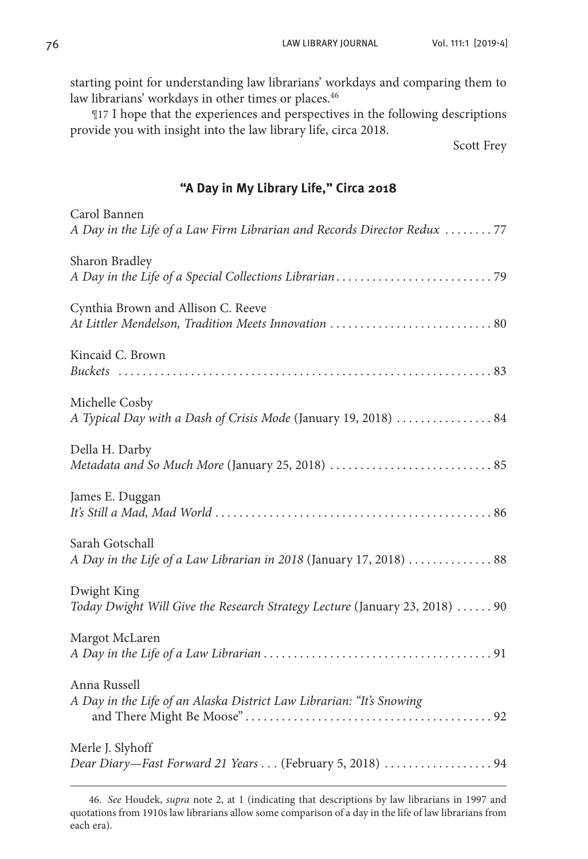starting point for understanding law librarians' workdays and comparing them to law librarians' workdays in other times or places.<sup>46</sup>

¶17 I hope that the experiences and perspectives in the following descriptions provide you with insight into the law library life, circa 2018.

Scott Frey

## **"A Day in My Library Life," Circa 2018**

| Carol Bannen<br>A Day in the Life of a Law Firm Librarian and Records Director Redux 77    |
|--------------------------------------------------------------------------------------------|
| Sharon Bradley                                                                             |
| Cynthia Brown and Allison C. Reeve                                                         |
| Kincaid C. Brown                                                                           |
| Michelle Cosby<br>A Typical Day with a Dash of Crisis Mode (January 19, 2018)  84          |
| Della H. Darby                                                                             |
| James E. Duggan                                                                            |
| Sarah Gotschall<br>A Day in the Life of a Law Librarian in 2018 (January 17, 2018)  88     |
| Dwight King<br>Today Dwight Will Give the Research Strategy Lecture (January 23, 2018)  90 |
| Margot McLaren                                                                             |
| Anna Russell<br>A Day in the Life of an Alaska District Law Librarian: "It's Snowing       |
| Merle J. Slyhoff                                                                           |

46. *See* Houdek, *supra* note 2, at 1 (indicating that descriptions by law librarians in 1997 and quotations from 1910s law librarians allow some comparison of a day in the life of law librarians from each era).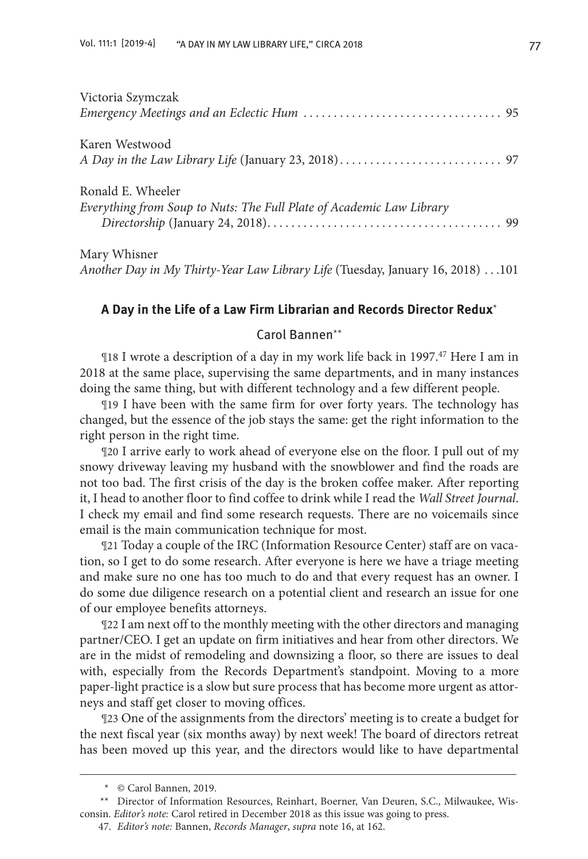| Victoria Szymczak                                                    |  |
|----------------------------------------------------------------------|--|
|                                                                      |  |
| Karen Westwood                                                       |  |
|                                                                      |  |
| Ronald E. Wheeler                                                    |  |
| Everything from Soup to Nuts: The Full Plate of Academic Law Library |  |
| Mary Whisner                                                         |  |

*Another Day in My Thirty-Year Law Library Life* (Tuesday, January 16, 2018). . 101

## **A Day in the Life of a Law Firm Librarian and Records Director Redux**\*

## Carol Bannen\*\*

¶18 I wrote a description of a day in my work life back in 1997.47 Here I am in 2018 at the same place, supervising the same departments, and in many instances doing the same thing, but with different technology and a few different people.

¶19 I have been with the same firm for over forty years. The technology has changed, but the essence of the job stays the same: get the right information to the right person in the right time.

¶20 I arrive early to work ahead of everyone else on the floor. I pull out of my snowy driveway leaving my husband with the snowblower and find the roads are not too bad. The first crisis of the day is the broken coffee maker. After reporting it, I head to another floor to find coffee to drink while I read the *Wall Street Journal*. I check my email and find some research requests. There are no voicemails since email is the main communication technique for most.

¶21 Today a couple of the IRC (Information Resource Center) staff are on vacation, so I get to do some research. After everyone is here we have a triage meeting and make sure no one has too much to do and that every request has an owner. I do some due diligence research on a potential client and research an issue for one of our employee benefits attorneys.

¶22 I am next off to the monthly meeting with the other directors and managing partner/CEO. I get an update on firm initiatives and hear from other directors. We are in the midst of remodeling and downsizing a floor, so there are issues to deal with, especially from the Records Department's standpoint. Moving to a more paper-light practice is a slow but sure process that has become more urgent as attorneys and staff get closer to moving offices.

¶23 One of the assignments from the directors' meeting is to create a budget for the next fiscal year (six months away) by next week! The board of directors retreat has been moved up this year, and the directors would like to have departmental

<sup>\*</sup> © Carol Bannen, 2019.

<sup>\*\*</sup> Director of Information Resources, Reinhart, Boerner, Van Deuren, S.C., Milwaukee, Wisconsin. *Editor's note:* Carol retired in December 2018 as this issue was going to press.

<sup>47.</sup> *Editor's note:* Bannen, *Records Manager*, *supra* note 16, at 162.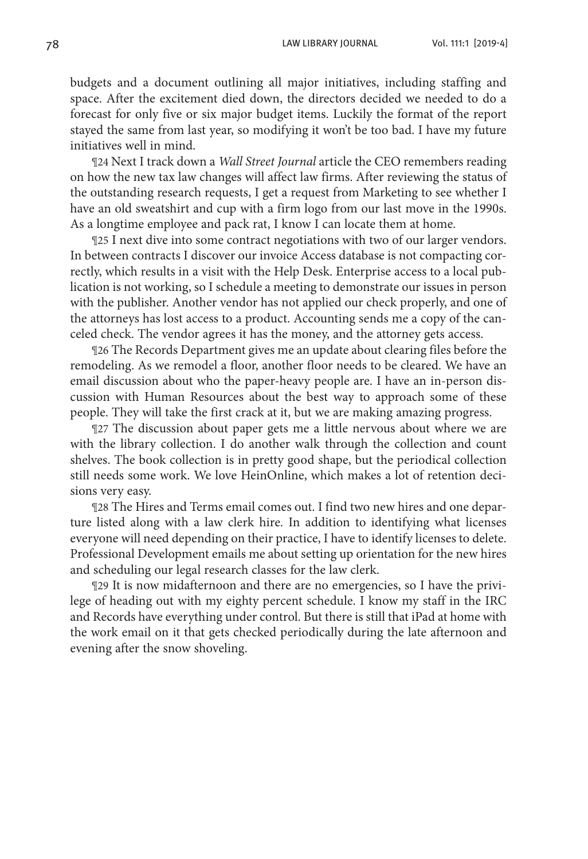budgets and a document outlining all major initiatives, including staffing and space. After the excitement died down, the directors decided we needed to do a forecast for only five or six major budget items. Luckily the format of the report stayed the same from last year, so modifying it won't be too bad. I have my future initiatives well in mind.

¶24 Next I track down a *Wall Street Journal* article the CEO remembers reading on how the new tax law changes will affect law firms. After reviewing the status of the outstanding research requests, I get a request from Marketing to see whether I have an old sweatshirt and cup with a firm logo from our last move in the 1990s. As a longtime employee and pack rat, I know I can locate them at home.

¶25 I next dive into some contract negotiations with two of our larger vendors. In between contracts I discover our invoice Access database is not compacting correctly, which results in a visit with the Help Desk. Enterprise access to a local publication is not working, so I schedule a meeting to demonstrate our issues in person with the publisher. Another vendor has not applied our check properly, and one of the attorneys has lost access to a product. Accounting sends me a copy of the canceled check. The vendor agrees it has the money, and the attorney gets access.

¶26 The Records Department gives me an update about clearing files before the remodeling. As we remodel a floor, another floor needs to be cleared. We have an email discussion about who the paper-heavy people are. I have an in-person discussion with Human Resources about the best way to approach some of these people. They will take the first crack at it, but we are making amazing progress.

¶27 The discussion about paper gets me a little nervous about where we are with the library collection. I do another walk through the collection and count shelves. The book collection is in pretty good shape, but the periodical collection still needs some work. We love HeinOnline, which makes a lot of retention decisions very easy.

¶28 The Hires and Terms email comes out. I find two new hires and one departure listed along with a law clerk hire. In addition to identifying what licenses everyone will need depending on their practice, I have to identify licenses to delete. Professional Development emails me about setting up orientation for the new hires and scheduling our legal research classes for the law clerk.

¶29 It is now midafternoon and there are no emergencies, so I have the privilege of heading out with my eighty percent schedule. I know my staff in the IRC and Records have everything under control. But there is still that iPad at home with the work email on it that gets checked periodically during the late afternoon and evening after the snow shoveling.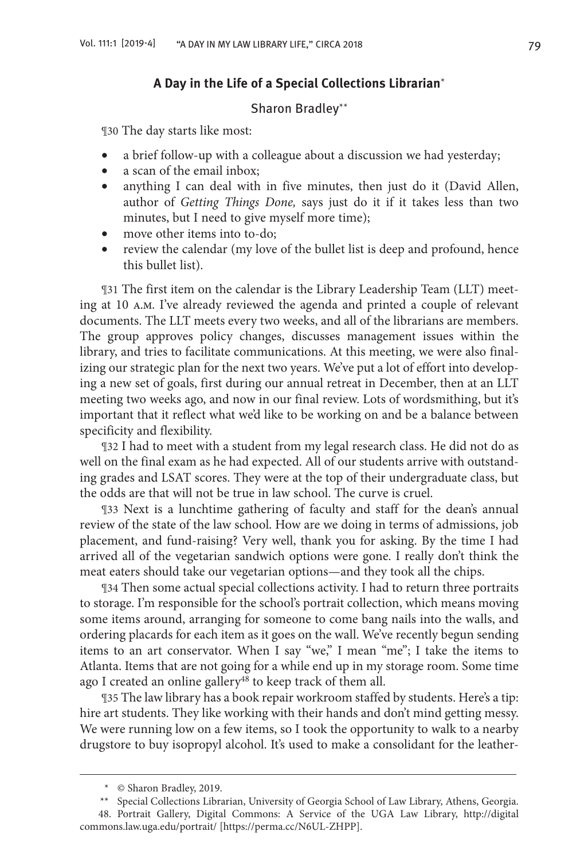## **A Day in the Life of a Special Collections Librarian**\*

#### Sharon Bradley\*\*

¶30 The day starts like most:

- a brief follow-up with a colleague about a discussion we had yesterday;
- a scan of the email inbox;
- anything I can deal with in five minutes, then just do it (David Allen, author of *Getting Things Done,* says just do it if it takes less than two minutes, but I need to give myself more time);
- move other items into to-do;
- review the calendar (my love of the bullet list is deep and profound, hence this bullet list).

¶31 The first item on the calendar is the Library Leadership Team (LLT) meeting at 10 a.m. I've already reviewed the agenda and printed a couple of relevant documents. The LLT meets every two weeks, and all of the librarians are members. The group approves policy changes, discusses management issues within the library, and tries to facilitate communications. At this meeting, we were also finalizing our strategic plan for the next two years. We've put a lot of effort into developing a new set of goals, first during our annual retreat in December, then at an LLT meeting two weeks ago, and now in our final review. Lots of wordsmithing, but it's important that it reflect what we'd like to be working on and be a balance between specificity and flexibility.

¶32 I had to meet with a student from my legal research class. He did not do as well on the final exam as he had expected. All of our students arrive with outstanding grades and LSAT scores. They were at the top of their undergraduate class, but the odds are that will not be true in law school. The curve is cruel.

¶33 Next is a lunchtime gathering of faculty and staff for the dean's annual review of the state of the law school. How are we doing in terms of admissions, job placement, and fund-raising? Very well, thank you for asking. By the time I had arrived all of the vegetarian sandwich options were gone. I really don't think the meat eaters should take our vegetarian options—and they took all the chips.

¶34 Then some actual special collections activity. I had to return three portraits to storage. I'm responsible for the school's portrait collection, which means moving some items around, arranging for someone to come bang nails into the walls, and ordering placards for each item as it goes on the wall. We've recently begun sending items to an art conservator. When I say "we," I mean "me"; I take the items to Atlanta. Items that are not going for a while end up in my storage room. Some time ago I created an online gallery<sup>48</sup> to keep track of them all.

¶35 The law library has a book repair workroom staffed by students. Here's a tip: hire art students. They like working with their hands and don't mind getting messy. We were running low on a few items, so I took the opportunity to walk to a nearby drugstore to buy isopropyl alcohol. It's used to make a consolidant for the leather-

<sup>\*</sup> © Sharon Bradley, 2019.

<sup>\*\*</sup> Special Collections Librarian, University of Georgia School of Law Library, Athens, Georgia.

<sup>48.</sup> Portrait Gallery, Digital Commons: A Service of the UGA Law Library, http://digital commons.law.uga.edu/portrait/ [https://perma.cc/N6UL-ZHPP].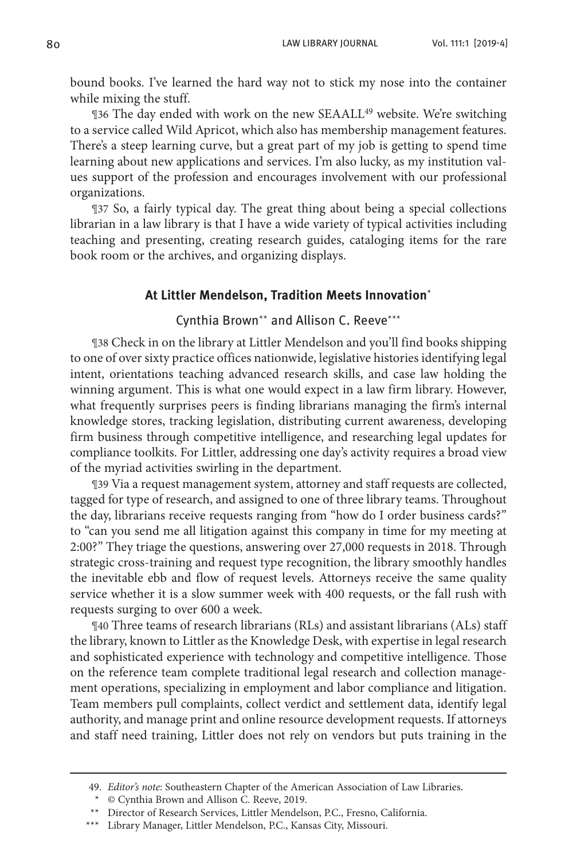bound books. I've learned the hard way not to stick my nose into the container while mixing the stuff.

¶36 The day ended with work on the new SEAALL49 website. We're switching to a service called Wild Apricot, which also has membership management features. There's a steep learning curve, but a great part of my job is getting to spend time learning about new applications and services. I'm also lucky, as my institution values support of the profession and encourages involvement with our professional organizations.

¶37 So, a fairly typical day. The great thing about being a special collections librarian in a law library is that I have a wide variety of typical activities including teaching and presenting, creating research guides, cataloging items for the rare book room or the archives, and organizing displays.

#### **At Littler Mendelson, Tradition Meets Innovation**\*

## Cynthia Brown\*\* and Allison C. Reeve\*\*\*

¶38 Check in on the library at Littler Mendelson and you'll find books shipping to one of over sixty practice offices nationwide, legislative histories identifying legal intent, orientations teaching advanced research skills, and case law holding the winning argument. This is what one would expect in a law firm library. However, what frequently surprises peers is finding librarians managing the firm's internal knowledge stores, tracking legislation, distributing current awareness, developing firm business through competitive intelligence, and researching legal updates for compliance toolkits. For Littler, addressing one day's activity requires a broad view of the myriad activities swirling in the department.

¶39 Via a request management system, attorney and staff requests are collected, tagged for type of research, and assigned to one of three library teams. Throughout the day, librarians receive requests ranging from "how do I order business cards?" to "can you send me all litigation against this company in time for my meeting at 2:00?" They triage the questions, answering over 27,000 requests in 2018. Through strategic cross-training and request type recognition, the library smoothly handles the inevitable ebb and flow of request levels. Attorneys receive the same quality service whether it is a slow summer week with 400 requests, or the fall rush with requests surging to over 600 a week.

¶40 Three teams of research librarians (RLs) and assistant librarians (ALs) staff the library, known to Littler as the Knowledge Desk, with expertise in legal research and sophisticated experience with technology and competitive intelligence. Those on the reference team complete traditional legal research and collection management operations, specializing in employment and labor compliance and litigation. Team members pull complaints, collect verdict and settlement data, identify legal authority, and manage print and online resource development requests. If attorneys and staff need training, Littler does not rely on vendors but puts training in the

<sup>49.</sup> *Editor's note*: Southeastern Chapter of the American Association of Law Libraries.

<sup>\*</sup> © Cynthia Brown and Allison C. Reeve, 2019.

<sup>\*\*</sup> Director of Research Services, Littler Mendelson, P.C., Fresno, California.

<sup>\*\*\*</sup> Library Manager, Littler Mendelson, P.C., Kansas City, Missouri.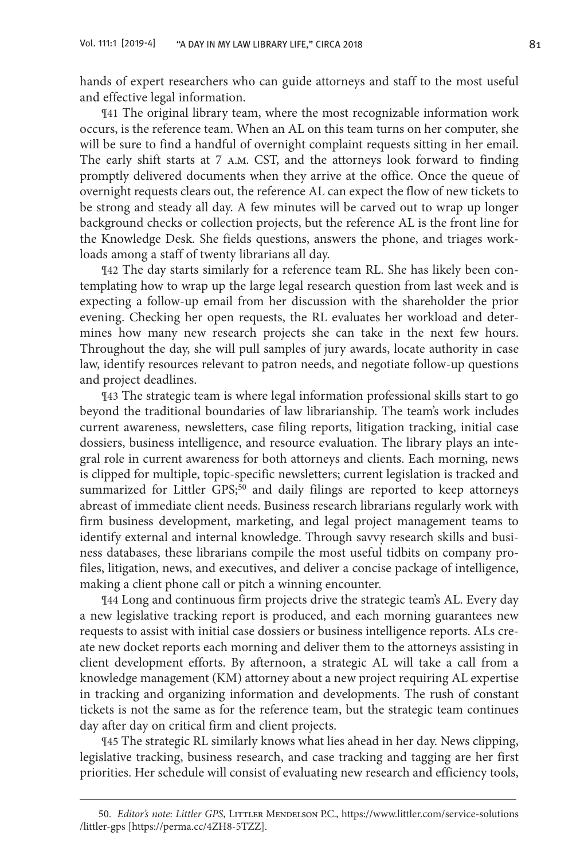hands of expert researchers who can guide attorneys and staff to the most useful and effective legal information.

¶41 The original library team, where the most recognizable information work occurs, is the reference team. When an AL on this team turns on her computer, she will be sure to find a handful of overnight complaint requests sitting in her email. The early shift starts at 7 a.m. CST, and the attorneys look forward to finding promptly delivered documents when they arrive at the office. Once the queue of overnight requests clears out, the reference AL can expect the flow of new tickets to be strong and steady all day. A few minutes will be carved out to wrap up longer background checks or collection projects, but the reference AL is the front line for the Knowledge Desk. She fields questions, answers the phone, and triages workloads among a staff of twenty librarians all day.

¶42 The day starts similarly for a reference team RL. She has likely been contemplating how to wrap up the large legal research question from last week and is expecting a follow-up email from her discussion with the shareholder the prior evening. Checking her open requests, the RL evaluates her workload and determines how many new research projects she can take in the next few hours. Throughout the day, she will pull samples of jury awards, locate authority in case law, identify resources relevant to patron needs, and negotiate follow-up questions and project deadlines.

¶43 The strategic team is where legal information professional skills start to go beyond the traditional boundaries of law librarianship. The team's work includes current awareness, newsletters, case filing reports, litigation tracking, initial case dossiers, business intelligence, and resource evaluation. The library plays an integral role in current awareness for both attorneys and clients. Each morning, news is clipped for multiple, topic-specific newsletters; current legislation is tracked and summarized for Littler GPS;<sup>50</sup> and daily filings are reported to keep attorneys abreast of immediate client needs. Business research librarians regularly work with firm business development, marketing, and legal project management teams to identify external and internal knowledge. Through savvy research skills and business databases, these librarians compile the most useful tidbits on company profiles, litigation, news, and executives, and deliver a concise package of intelligence, making a client phone call or pitch a winning encounter.

¶44 Long and continuous firm projects drive the strategic team's AL. Every day a new legislative tracking report is produced, and each morning guarantees new requests to assist with initial case dossiers or business intelligence reports. ALs create new docket reports each morning and deliver them to the attorneys assisting in client development efforts. By afternoon, a strategic AL will take a call from a knowledge management (KM) attorney about a new project requiring AL expertise in tracking and organizing information and developments. The rush of constant tickets is not the same as for the reference team, but the strategic team continues day after day on critical firm and client projects.

¶45 The strategic RL similarly knows what lies ahead in her day. News clipping, legislative tracking, business research, and case tracking and tagging are her first priorities. Her schedule will consist of evaluating new research and efficiency tools,

<sup>50.</sup> *Editor's note*: *Littler GPS*, Littler Mendelson P.C., https://www.littler.com/service-solutions /littler-gps [https://perma.cc/4ZH8-5TZZ].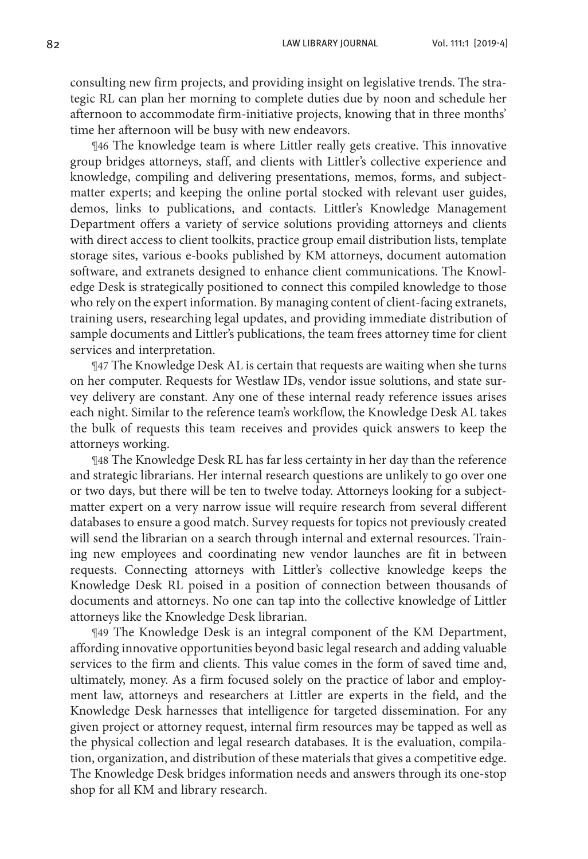consulting new firm projects, and providing insight on legislative trends. The strategic RL can plan her morning to complete duties due by noon and schedule her afternoon to accommodate firm-initiative projects, knowing that in three months' time her afternoon will be busy with new endeavors.

¶46 The knowledge team is where Littler really gets creative. This innovative group bridges attorneys, staff, and clients with Littler's collective experience and knowledge, compiling and delivering presentations, memos, forms, and subjectmatter experts; and keeping the online portal stocked with relevant user guides, demos, links to publications, and contacts. Littler's Knowledge Management Department offers a variety of service solutions providing attorneys and clients with direct access to client toolkits, practice group email distribution lists, template storage sites, various e-books published by KM attorneys, document automation software, and extranets designed to enhance client communications. The Knowledge Desk is strategically positioned to connect this compiled knowledge to those who rely on the expert information. By managing content of client-facing extranets, training users, researching legal updates, and providing immediate distribution of sample documents and Littler's publications, the team frees attorney time for client services and interpretation.

¶47 The Knowledge Desk AL is certain that requests are waiting when she turns on her computer. Requests for Westlaw IDs, vendor issue solutions, and state survey delivery are constant. Any one of these internal ready reference issues arises each night. Similar to the reference team's workflow, the Knowledge Desk AL takes the bulk of requests this team receives and provides quick answers to keep the attorneys working.

¶48 The Knowledge Desk RL has far less certainty in her day than the reference and strategic librarians. Her internal research questions are unlikely to go over one or two days, but there will be ten to twelve today. Attorneys looking for a subjectmatter expert on a very narrow issue will require research from several different databases to ensure a good match. Survey requests for topics not previously created will send the librarian on a search through internal and external resources. Training new employees and coordinating new vendor launches are fit in between requests. Connecting attorneys with Littler's collective knowledge keeps the Knowledge Desk RL poised in a position of connection between thousands of documents and attorneys. No one can tap into the collective knowledge of Littler attorneys like the Knowledge Desk librarian.

¶49 The Knowledge Desk is an integral component of the KM Department, affording innovative opportunities beyond basic legal research and adding valuable services to the firm and clients. This value comes in the form of saved time and, ultimately, money. As a firm focused solely on the practice of labor and employment law, attorneys and researchers at Littler are experts in the field, and the Knowledge Desk harnesses that intelligence for targeted dissemination. For any given project or attorney request, internal firm resources may be tapped as well as the physical collection and legal research databases. It is the evaluation, compilation, organization, and distribution of these materials that gives a competitive edge. The Knowledge Desk bridges information needs and answers through its one-stop shop for all KM and library research.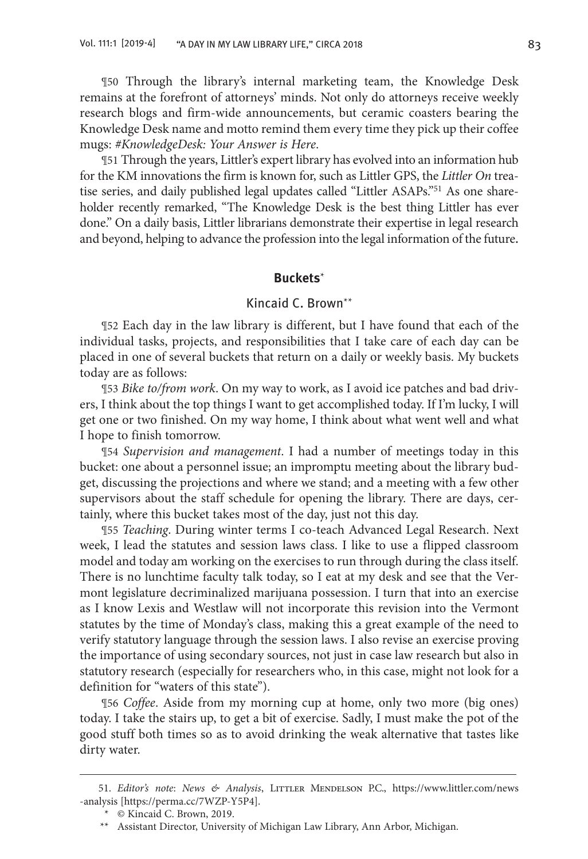¶50 Through the library's internal marketing team, the Knowledge Desk remains at the forefront of attorneys' minds. Not only do attorneys receive weekly research blogs and firm-wide announcements, but ceramic coasters bearing the Knowledge Desk name and motto remind them every time they pick up their coffee mugs: *#KnowledgeDesk: Your Answer is Here*.

¶51 Through the years, Littler's expert library has evolved into an information hub for the KM innovations the firm is known for, such as Littler GPS, the *Littler On* treatise series, and daily published legal updates called "Littler ASAPs."<sup>51</sup> As one shareholder recently remarked, "The Knowledge Desk is the best thing Littler has ever done." On a daily basis, Littler librarians demonstrate their expertise in legal research and beyond, helping to advance the profession into the legal information of the future.

## **Buckets**\*

## Kincaid C. Brown\*\*

¶52 Each day in the law library is different, but I have found that each of the individual tasks, projects, and responsibilities that I take care of each day can be placed in one of several buckets that return on a daily or weekly basis. My buckets today are as follows:

¶53 *Bike to/from work*. On my way to work, as I avoid ice patches and bad drivers, I think about the top things I want to get accomplished today. If I'm lucky, I will get one or two finished. On my way home, I think about what went well and what I hope to finish tomorrow.

¶54 *Supervision and management*. I had a number of meetings today in this bucket: one about a personnel issue; an impromptu meeting about the library budget, discussing the projections and where we stand; and a meeting with a few other supervisors about the staff schedule for opening the library. There are days, certainly, where this bucket takes most of the day, just not this day.

¶55 *Teaching*. During winter terms I co-teach Advanced Legal Research. Next week, I lead the statutes and session laws class. I like to use a flipped classroom model and today am working on the exercises to run through during the class itself. There is no lunchtime faculty talk today, so I eat at my desk and see that the Vermont legislature decriminalized marijuana possession. I turn that into an exercise as I know Lexis and Westlaw will not incorporate this revision into the Vermont statutes by the time of Monday's class, making this a great example of the need to verify statutory language through the session laws. I also revise an exercise proving the importance of using secondary sources, not just in case law research but also in statutory research (especially for researchers who, in this case, might not look for a definition for "waters of this state").

¶56 *Coffee*. Aside from my morning cup at home, only two more (big ones) today. I take the stairs up, to get a bit of exercise. Sadly, I must make the pot of the good stuff both times so as to avoid drinking the weak alternative that tastes like dirty water.

<sup>51.</sup> *Editor's note: News & Analysis*, LITTLER MENDELSON P.C., https://www.littler.com/news -analysis [https://perma.cc/7WZP-Y5P4].

<sup>\*</sup> © Kincaid C. Brown, 2019.

<sup>\*\*</sup> Assistant Director, University of Michigan Law Library, Ann Arbor, Michigan.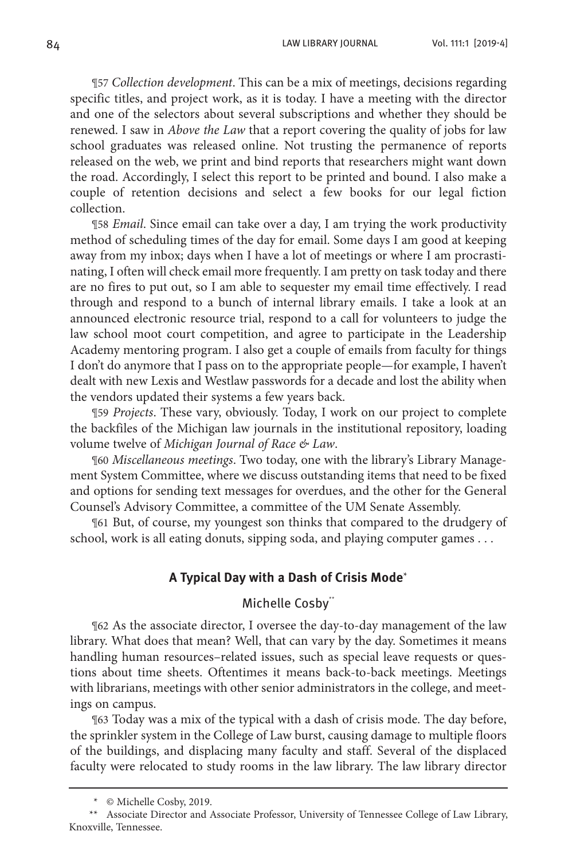¶57 *Collection development*. This can be a mix of meetings, decisions regarding specific titles, and project work, as it is today. I have a meeting with the director and one of the selectors about several subscriptions and whether they should be renewed. I saw in *Above the Law* that a report covering the quality of jobs for law school graduates was released online. Not trusting the permanence of reports released on the web, we print and bind reports that researchers might want down the road. Accordingly, I select this report to be printed and bound. I also make a couple of retention decisions and select a few books for our legal fiction collection.

¶58 *Email*. Since email can take over a day, I am trying the work productivity method of scheduling times of the day for email. Some days I am good at keeping away from my inbox; days when I have a lot of meetings or where I am procrastinating, I often will check email more frequently. I am pretty on task today and there are no fires to put out, so I am able to sequester my email time effectively. I read through and respond to a bunch of internal library emails. I take a look at an announced electronic resource trial, respond to a call for volunteers to judge the law school moot court competition, and agree to participate in the Leadership Academy mentoring program. I also get a couple of emails from faculty for things I don't do anymore that I pass on to the appropriate people—for example, I haven't dealt with new Lexis and Westlaw passwords for a decade and lost the ability when the vendors updated their systems a few years back.

¶59 *Projects*. These vary, obviously. Today, I work on our project to complete the backfiles of the Michigan law journals in the institutional repository, loading volume twelve of *Michigan Journal of Race & Law*.

¶60 *Miscellaneous meetings*. Two today, one with the library's Library Management System Committee, where we discuss outstanding items that need to be fixed and options for sending text messages for overdues, and the other for the General Counsel's Advisory Committee, a committee of the UM Senate Assembly.

¶61 But, of course, my youngest son thinks that compared to the drudgery of school, work is all eating donuts, sipping soda, and playing computer games . . .

## **A Typical Day with a Dash of Crisis Mode**\*

## Michelle Cosby\*\*

¶62 As the associate director, I oversee the day-to-day management of the law library. What does that mean? Well, that can vary by the day. Sometimes it means handling human resources–related issues, such as special leave requests or questions about time sheets. Oftentimes it means back-to-back meetings. Meetings with librarians, meetings with other senior administrators in the college, and meetings on campus.

¶63 Today was a mix of the typical with a dash of crisis mode. The day before, the sprinkler system in the College of Law burst, causing damage to multiple floors of the buildings, and displacing many faculty and staff. Several of the displaced faculty were relocated to study rooms in the law library. The law library director

<sup>\*</sup> © Michelle Cosby, 2019.

<sup>\*\*</sup> Associate Director and Associate Professor, University of Tennessee College of Law Library, Knoxville, Tennessee.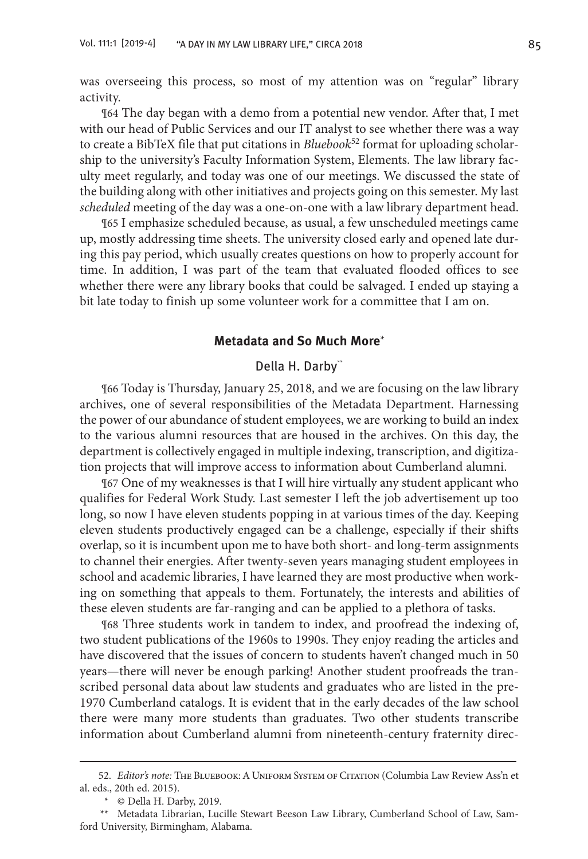was overseeing this process, so most of my attention was on "regular" library activity.

¶64 The day began with a demo from a potential new vendor. After that, I met with our head of Public Services and our IT analyst to see whether there was a way to create a BibTeX file that put citations in *Bluebook*52 format for uploading scholarship to the university's Faculty Information System, Elements. The law library faculty meet regularly, and today was one of our meetings. We discussed the state of the building along with other initiatives and projects going on this semester. My last *scheduled* meeting of the day was a one-on-one with a law library department head.

¶65 I emphasize scheduled because, as usual, a few unscheduled meetings came up, mostly addressing time sheets. The university closed early and opened late during this pay period, which usually creates questions on how to properly account for time. In addition, I was part of the team that evaluated flooded offices to see whether there were any library books that could be salvaged. I ended up staying a bit late today to finish up some volunteer work for a committee that I am on.

#### **Metadata and So Much More**\*

## Della H. Darby\*\*

¶66 Today is Thursday, January 25, 2018, and we are focusing on the law library archives, one of several responsibilities of the Metadata Department. Harnessing the power of our abundance of student employees, we are working to build an index to the various alumni resources that are housed in the archives. On this day, the department is collectively engaged in multiple indexing, transcription, and digitization projects that will improve access to information about Cumberland alumni.

¶67 One of my weaknesses is that I will hire virtually any student applicant who qualifies for Federal Work Study. Last semester I left the job advertisement up too long, so now I have eleven students popping in at various times of the day. Keeping eleven students productively engaged can be a challenge, especially if their shifts overlap, so it is incumbent upon me to have both short- and long-term assignments to channel their energies. After twenty-seven years managing student employees in school and academic libraries, I have learned they are most productive when working on something that appeals to them. Fortunately, the interests and abilities of these eleven students are far-ranging and can be applied to a plethora of tasks.

¶68 Three students work in tandem to index, and proofread the indexing of, two student publications of the 1960s to 1990s. They enjoy reading the articles and have discovered that the issues of concern to students haven't changed much in 50 years—there will never be enough parking! Another student proofreads the transcribed personal data about law students and graduates who are listed in the pre-1970 Cumberland catalogs. It is evident that in the early decades of the law school there were many more students than graduates. Two other students transcribe information about Cumberland alumni from nineteenth-century fraternity direc-

<sup>52.</sup> *Editor's note:* The Bluebook: A Uniform System of Citation (Columbia Law Review Ass'n et al. eds., 20th ed. 2015).

<sup>\*</sup> © Della H. Darby, 2019.

<sup>\*\*</sup> Metadata Librarian, Lucille Stewart Beeson Law Library, Cumberland School of Law, Samford University, Birmingham, Alabama.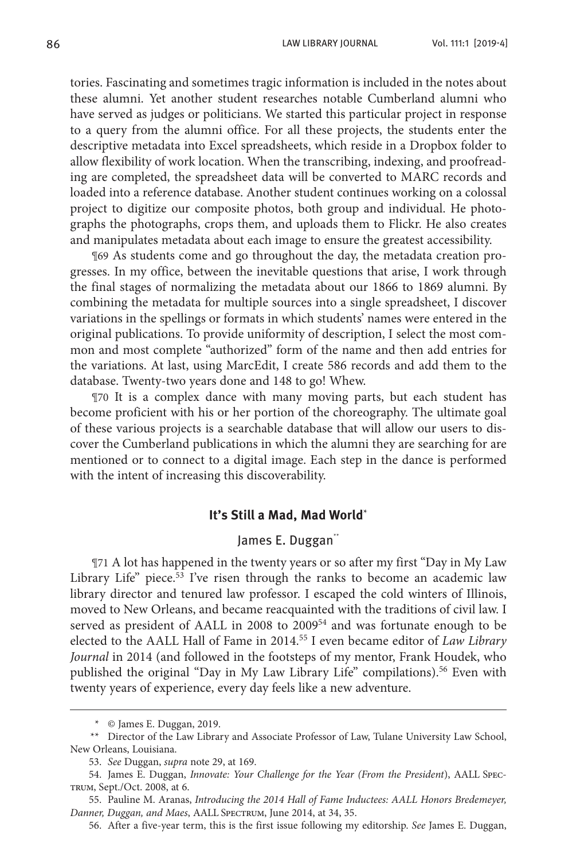tories. Fascinating and sometimes tragic information is included in the notes about these alumni. Yet another student researches notable Cumberland alumni who have served as judges or politicians. We started this particular project in response to a query from the alumni office. For all these projects, the students enter the descriptive metadata into Excel spreadsheets, which reside in a Dropbox folder to allow flexibility of work location. When the transcribing, indexing, and proofreading are completed, the spreadsheet data will be converted to MARC records and loaded into a reference database. Another student continues working on a colossal project to digitize our composite photos, both group and individual. He photographs the photographs, crops them, and uploads them to Flickr. He also creates and manipulates metadata about each image to ensure the greatest accessibility.

¶69 As students come and go throughout the day, the metadata creation progresses. In my office, between the inevitable questions that arise, I work through the final stages of normalizing the metadata about our 1866 to 1869 alumni. By combining the metadata for multiple sources into a single spreadsheet, I discover variations in the spellings or formats in which students' names were entered in the original publications. To provide uniformity of description, I select the most common and most complete "authorized" form of the name and then add entries for the variations. At last, using MarcEdit, I create 586 records and add them to the database. Twenty-two years done and 148 to go! Whew.

¶70 It is a complex dance with many moving parts, but each student has become proficient with his or her portion of the choreography. The ultimate goal of these various projects is a searchable database that will allow our users to discover the Cumberland publications in which the alumni they are searching for are mentioned or to connect to a digital image. Each step in the dance is performed with the intent of increasing this discoverability.

#### **It's Still a Mad, Mad World**\*

## James E. Duggan\*\*

¶71 A lot has happened in the twenty years or so after my first "Day in My Law Library Life" piece.<sup>53</sup> I've risen through the ranks to become an academic law library director and tenured law professor. I escaped the cold winters of Illinois, moved to New Orleans, and became reacquainted with the traditions of civil law. I served as president of AALL in 2008 to 200954 and was fortunate enough to be elected to the AALL Hall of Fame in 2014.55 I even became editor of *Law Library Journal* in 2014 (and followed in the footsteps of my mentor, Frank Houdek, who published the original "Day in My Law Library Life" compilations).56 Even with twenty years of experience, every day feels like a new adventure.

56. After a five-year term, this is the first issue following my editorship. *See* James E. Duggan,

<sup>\*</sup> © James E. Duggan, 2019.

<sup>\*\*</sup> Director of the Law Library and Associate Professor of Law, Tulane University Law School, New Orleans, Louisiana.

<sup>53.</sup> *See* Duggan, *supra* note 29, at 169.

<sup>54.</sup> James E. Duggan, *Innovate: Your Challenge for the Year (From the President*), AALL Spectrum, Sept./Oct. 2008, at 6.

<sup>55.</sup> Pauline M. Aranas, *Introducing the 2014 Hall of Fame Inductees: AALL Honors Bredemeyer, Danner, Duggan, and Maes*, AALL Spectrum, June 2014, at 34, 35.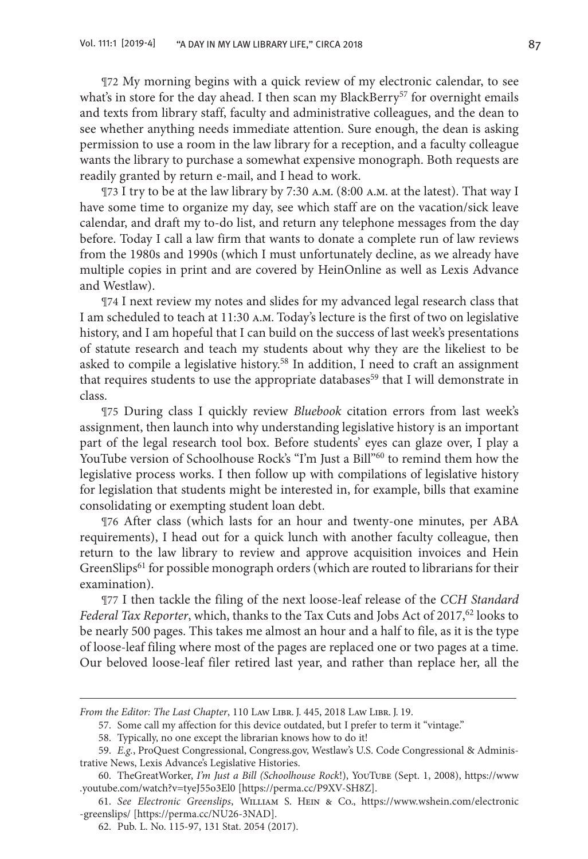¶72 My morning begins with a quick review of my electronic calendar, to see what's in store for the day ahead. I then scan my BlackBerry<sup>57</sup> for overnight emails and texts from library staff, faculty and administrative colleagues, and the dean to see whether anything needs immediate attention. Sure enough, the dean is asking permission to use a room in the law library for a reception, and a faculty colleague wants the library to purchase a somewhat expensive monograph. Both requests are readily granted by return e-mail, and I head to work.

¶73 I try to be at the law library by 7:30 a.m. (8:00 a.m. at the latest). That way I have some time to organize my day, see which staff are on the vacation/sick leave calendar, and draft my to-do list, and return any telephone messages from the day before. Today I call a law firm that wants to donate a complete run of law reviews from the 1980s and 1990s (which I must unfortunately decline, as we already have multiple copies in print and are covered by HeinOnline as well as Lexis Advance and Westlaw).

¶74 I next review my notes and slides for my advanced legal research class that I am scheduled to teach at 11:30 a.m. Today's lecture is the first of two on legislative history, and I am hopeful that I can build on the success of last week's presentations of statute research and teach my students about why they are the likeliest to be asked to compile a legislative history.<sup>58</sup> In addition, I need to craft an assignment that requires students to use the appropriate databases<sup>59</sup> that I will demonstrate in class.

¶75 During class I quickly review *Bluebook* citation errors from last week's assignment, then launch into why understanding legislative history is an important part of the legal research tool box. Before students' eyes can glaze over, I play a YouTube version of Schoolhouse Rock's "I'm Just a Bill"<sup>60</sup> to remind them how the legislative process works. I then follow up with compilations of legislative history for legislation that students might be interested in, for example, bills that examine consolidating or exempting student loan debt.

¶76 After class (which lasts for an hour and twenty-one minutes, per ABA requirements), I head out for a quick lunch with another faculty colleague, then return to the law library to review and approve acquisition invoices and Hein GreenSlips<sup>61</sup> for possible monograph orders (which are routed to librarians for their examination).

¶77 I then tackle the filing of the next loose-leaf release of the *CCH Standard Federal Tax Reporter*, which, thanks to the Tax Cuts and Jobs Act of 2017,<sup>62</sup> looks to be nearly 500 pages. This takes me almost an hour and a half to file, as it is the type of loose-leaf filing where most of the pages are replaced one or two pages at a time. Our beloved loose-leaf filer retired last year, and rather than replace her, all the

*From the Editor: The Last Chapter*, 110 Law Libr. J. 445, 2018 Law Libr. J. 19.

<sup>57.</sup> Some call my affection for this device outdated, but I prefer to term it "vintage."

<sup>58.</sup> Typically, no one except the librarian knows how to do it!

<sup>59.</sup> *E.g.*, ProQuest Congressional, Congress.gov, Westlaw's U.S. Code Congressional & Administrative News, Lexis Advance's Legislative Histories.

<sup>60.</sup> TheGreatWorker, *I'm Just a Bill (Schoolhouse Rock*!), YouTube (Sept. 1, 2008), https://www .youtube.com/watch?v=tyeJ55o3El0 [https://perma.cc/P9XV-SH8Z].

<sup>61.</sup> *See Electronic Greenslips*, William S. Hein & Co., https://www.wshein.com/electronic -greenslips/ [https://perma.cc/NU26-3NAD].

<sup>62.</sup> Pub. L. No. 115-97, 131 Stat. 2054 (2017).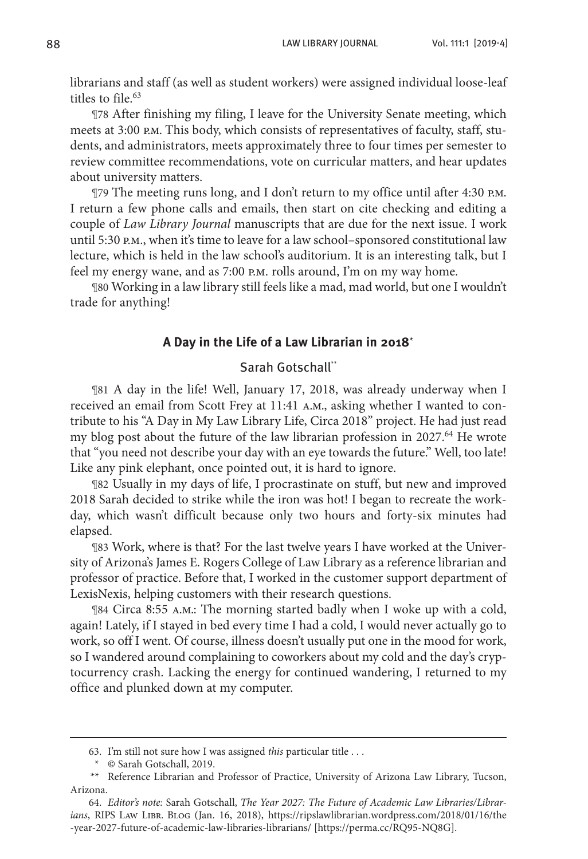librarians and staff (as well as student workers) were assigned individual loose-leaf titles to file  $63$ 

¶78 After finishing my filing, I leave for the University Senate meeting, which meets at 3:00 p.m. This body, which consists of representatives of faculty, staff, students, and administrators, meets approximately three to four times per semester to review committee recommendations, vote on curricular matters, and hear updates about university matters.

¶79 The meeting runs long, and I don't return to my office until after 4:30 p.m. I return a few phone calls and emails, then start on cite checking and editing a couple of *Law Library Journal* manuscripts that are due for the next issue. I work until 5:30 p.m., when it's time to leave for a law school–sponsored constitutional law lecture, which is held in the law school's auditorium. It is an interesting talk, but I feel my energy wane, and as 7:00 p.m. rolls around, I'm on my way home.

¶80 Working in a law library still feels like a mad, mad world, but one I wouldn't trade for anything!

#### **A Day in the Life of a Law Librarian in 2018**\*

## Sarah Gotschall\*\*

¶81 A day in the life! Well, January 17, 2018, was already underway when I received an email from Scott Frey at 11:41 a.m., asking whether I wanted to contribute to his "A Day in My Law Library Life, Circa 2018" project. He had just read my blog post about the future of the law librarian profession in 2027.<sup>64</sup> He wrote that "you need not describe your day with an eye towards the future." Well, too late! Like any pink elephant, once pointed out, it is hard to ignore.

¶82 Usually in my days of life, I procrastinate on stuff, but new and improved 2018 Sarah decided to strike while the iron was hot! I began to recreate the workday, which wasn't difficult because only two hours and forty-six minutes had elapsed.

¶83 Work, where is that? For the last twelve years I have worked at the University of Arizona's James E. Rogers College of Law Library as a reference librarian and professor of practice. Before that, I worked in the customer support department of LexisNexis, helping customers with their research questions.

¶84 Circa 8:55 a.m.: The morning started badly when I woke up with a cold, again! Lately, if I stayed in bed every time I had a cold, I would never actually go to work, so off I went. Of course, illness doesn't usually put one in the mood for work, so I wandered around complaining to coworkers about my cold and the day's cryptocurrency crash. Lacking the energy for continued wandering, I returned to my office and plunked down at my computer.

<sup>63.</sup> I'm still not sure how I was assigned *this* particular title . . .

<sup>\*</sup> © Sarah Gotschall, 2019.

<sup>\*\*</sup> Reference Librarian and Professor of Practice, University of Arizona Law Library, Tucson, Arizona.

<sup>64.</sup> *Editor's note:* Sarah Gotschall, *The Year 2027: The Future of Academic Law Libraries/Librarians*, RIPS Law Libr. Blog (Jan. 16, 2018), https://ripslawlibrarian.wordpress.com/2018/01/16/the -year-2027-future-of-academic-law-libraries-librarians/ [https://perma.cc/RQ95-NQ8G].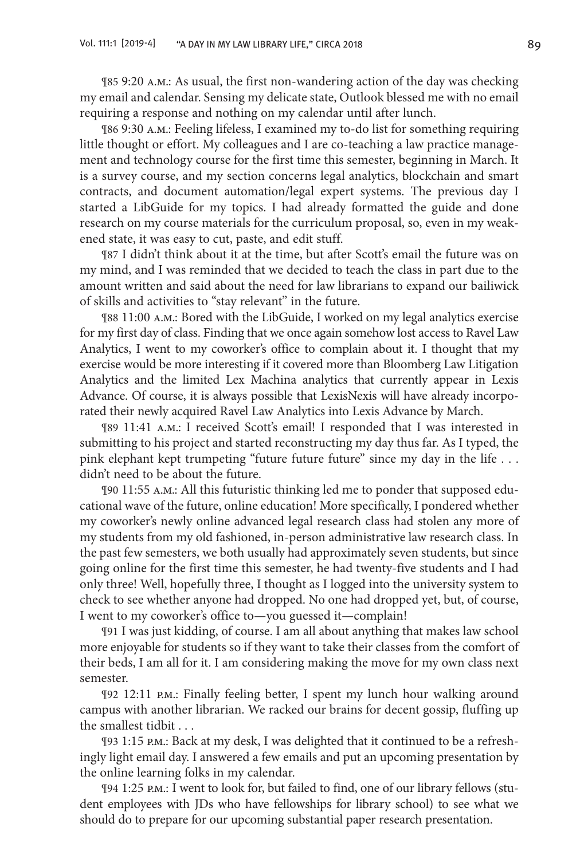¶85 9:20 a.m.: As usual, the first non-wandering action of the day was checking my email and calendar. Sensing my delicate state, Outlook blessed me with no email requiring a response and nothing on my calendar until after lunch.

¶86 9:30 a.m.: Feeling lifeless, I examined my to-do list for something requiring little thought or effort. My colleagues and I are co-teaching a law practice management and technology course for the first time this semester, beginning in March. It is a survey course, and my section concerns legal analytics, blockchain and smart contracts, and document automation/legal expert systems. The previous day I started a LibGuide for my topics. I had already formatted the guide and done research on my course materials for the curriculum proposal, so, even in my weakened state, it was easy to cut, paste, and edit stuff.

¶87 I didn't think about it at the time, but after Scott's email the future was on my mind, and I was reminded that we decided to teach the class in part due to the amount written and said about the need for law librarians to expand our bailiwick of skills and activities to "stay relevant" in the future.

¶88 11:00 a.m.: Bored with the LibGuide, I worked on my legal analytics exercise for my first day of class. Finding that we once again somehow lost access to Ravel Law Analytics, I went to my coworker's office to complain about it. I thought that my exercise would be more interesting if it covered more than Bloomberg Law Litigation Analytics and the limited Lex Machina analytics that currently appear in Lexis Advance. Of course, it is always possible that LexisNexis will have already incorporated their newly acquired Ravel Law Analytics into Lexis Advance by March.

¶89 11:41 a.m.: I received Scott's email! I responded that I was interested in submitting to his project and started reconstructing my day thus far. As I typed, the pink elephant kept trumpeting "future future future" since my day in the life . . . didn't need to be about the future.

¶90 11:55 a.m.: All this futuristic thinking led me to ponder that supposed educational wave of the future, online education! More specifically, I pondered whether my coworker's newly online advanced legal research class had stolen any more of my students from my old fashioned, in-person administrative law research class. In the past few semesters, we both usually had approximately seven students, but since going online for the first time this semester, he had twenty-five students and I had only three! Well, hopefully three, I thought as I logged into the university system to check to see whether anyone had dropped. No one had dropped yet, but, of course, I went to my coworker's office to—you guessed it—complain!

¶91 I was just kidding, of course. I am all about anything that makes law school more enjoyable for students so if they want to take their classes from the comfort of their beds, I am all for it. I am considering making the move for my own class next semester.

¶92 12:11 p.m.: Finally feeling better, I spent my lunch hour walking around campus with another librarian. We racked our brains for decent gossip, fluffing up the smallest tidbit . . .

¶93 1:15 p.m.: Back at my desk, I was delighted that it continued to be a refreshingly light email day. I answered a few emails and put an upcoming presentation by the online learning folks in my calendar.

¶94 1:25 p.m.: I went to look for, but failed to find, one of our library fellows (student employees with JDs who have fellowships for library school) to see what we should do to prepare for our upcoming substantial paper research presentation.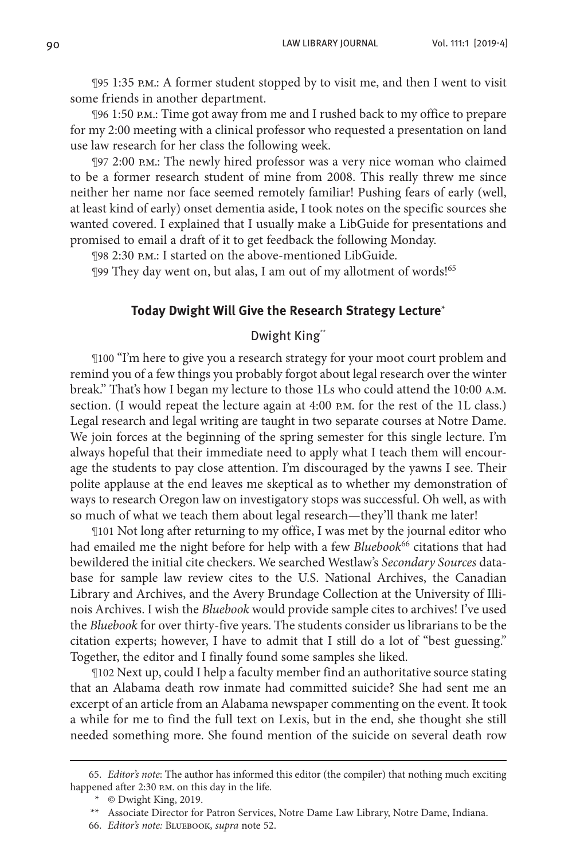¶95 1:35 p.m.: A former student stopped by to visit me, and then I went to visit some friends in another department.

¶96 1:50 p.m.: Time got away from me and I rushed back to my office to prepare for my 2:00 meeting with a clinical professor who requested a presentation on land use law research for her class the following week.

¶97 2:00 p.m.: The newly hired professor was a very nice woman who claimed to be a former research student of mine from 2008. This really threw me since neither her name nor face seemed remotely familiar! Pushing fears of early (well, at least kind of early) onset dementia aside, I took notes on the specific sources she wanted covered. I explained that I usually make a LibGuide for presentations and promised to email a draft of it to get feedback the following Monday.

¶98 2:30 p.m.: I started on the above-mentioned LibGuide.

¶99 They day went on, but alas, I am out of my allotment of words!65

## **Today Dwight Will Give the Research Strategy Lecture**\*

## Dwight King\*\*

¶100 "I'm here to give you a research strategy for your moot court problem and remind you of a few things you probably forgot about legal research over the winter break." That's how I began my lecture to those 1Ls who could attend the 10:00 a.m. section. (I would repeat the lecture again at 4:00 p.m. for the rest of the 1L class.) Legal research and legal writing are taught in two separate courses at Notre Dame. We join forces at the beginning of the spring semester for this single lecture. I'm always hopeful that their immediate need to apply what I teach them will encourage the students to pay close attention. I'm discouraged by the yawns I see. Their polite applause at the end leaves me skeptical as to whether my demonstration of ways to research Oregon law on investigatory stops was successful. Oh well, as with so much of what we teach them about legal research—they'll thank me later!

¶101 Not long after returning to my office, I was met by the journal editor who had emailed me the night before for help with a few *Bluebook*66 citations that had bewildered the initial cite checkers. We searched Westlaw's *Secondary Sources* database for sample law review cites to the U.S. National Archives, the Canadian Library and Archives, and the Avery Brundage Collection at the University of Illinois Archives. I wish the *Bluebook* would provide sample cites to archives! I've used the *Bluebook* for over thirty-five years. The students consider us librarians to be the citation experts; however, I have to admit that I still do a lot of "best guessing." Together, the editor and I finally found some samples she liked.

¶102 Next up, could I help a faculty member find an authoritative source stating that an Alabama death row inmate had committed suicide? She had sent me an excerpt of an article from an Alabama newspaper commenting on the event. It took a while for me to find the full text on Lexis, but in the end, she thought she still needed something more. She found mention of the suicide on several death row

<sup>65.</sup> *Editor's note*: The author has informed this editor (the compiler) that nothing much exciting happened after 2:30 P.M. on this day in the life.

<sup>\*</sup> © Dwight King, 2019.

<sup>\*\*</sup> Associate Director for Patron Services, Notre Dame Law Library, Notre Dame, Indiana.

<sup>66.</sup> *Editor's note:* Bluebook, *supra* note 52.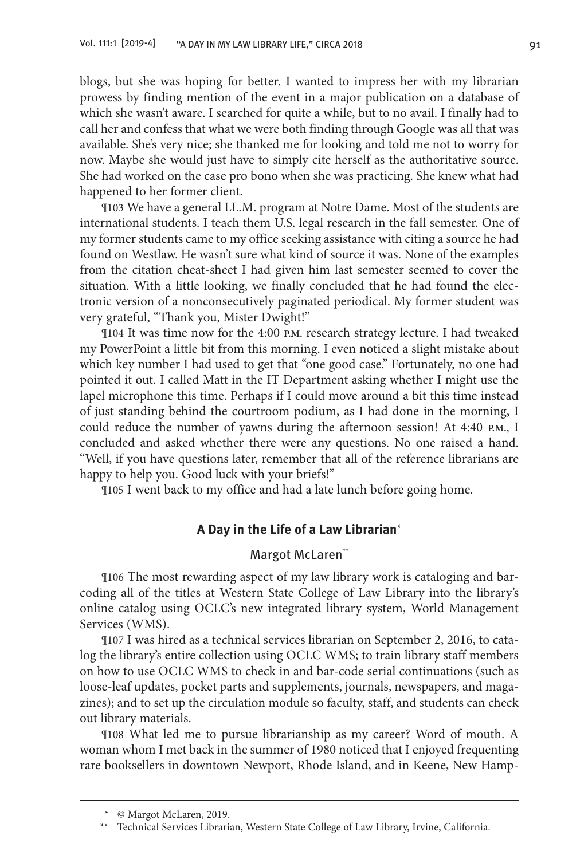blogs, but she was hoping for better. I wanted to impress her with my librarian prowess by finding mention of the event in a major publication on a database of which she wasn't aware. I searched for quite a while, but to no avail. I finally had to call her and confess that what we were both finding through Google was all that was available. She's very nice; she thanked me for looking and told me not to worry for now. Maybe she would just have to simply cite herself as the authoritative source. She had worked on the case pro bono when she was practicing. She knew what had happened to her former client.

¶103 We have a general LL.M. program at Notre Dame. Most of the students are international students. I teach them U.S. legal research in the fall semester. One of my former students came to my office seeking assistance with citing a source he had found on Westlaw. He wasn't sure what kind of source it was. None of the examples from the citation cheat-sheet I had given him last semester seemed to cover the situation. With a little looking, we finally concluded that he had found the electronic version of a nonconsecutively paginated periodical. My former student was very grateful, "Thank you, Mister Dwight!"

¶104 It was time now for the 4:00 p.m. research strategy lecture. I had tweaked my PowerPoint a little bit from this morning. I even noticed a slight mistake about which key number I had used to get that "one good case." Fortunately, no one had pointed it out. I called Matt in the IT Department asking whether I might use the lapel microphone this time. Perhaps if I could move around a bit this time instead of just standing behind the courtroom podium, as I had done in the morning, I could reduce the number of yawns during the afternoon session! At 4:40 p.m., I concluded and asked whether there were any questions. No one raised a hand. "Well, if you have questions later, remember that all of the reference librarians are happy to help you. Good luck with your briefs!"

¶105 I went back to my office and had a late lunch before going home.

## **A Day in the Life of a Law Librarian**\*

## Margot McLaren\*\*

¶106 The most rewarding aspect of my law library work is cataloging and barcoding all of the titles at Western State College of Law Library into the library's online catalog using OCLC's new integrated library system, World Management Services (WMS).

¶107 I was hired as a technical services librarian on September 2, 2016, to catalog the library's entire collection using OCLC WMS; to train library staff members on how to use OCLC WMS to check in and bar-code serial continuations (such as loose-leaf updates, pocket parts and supplements, journals, newspapers, and magazines); and to set up the circulation module so faculty, staff, and students can check out library materials.

¶108 What led me to pursue librarianship as my career? Word of mouth. A woman whom I met back in the summer of 1980 noticed that I enjoyed frequenting rare booksellers in downtown Newport, Rhode Island, and in Keene, New Hamp-

<sup>\*</sup> © Margot McLaren, 2019.

<sup>\*\*</sup> Technical Services Librarian, Western State College of Law Library, Irvine, California.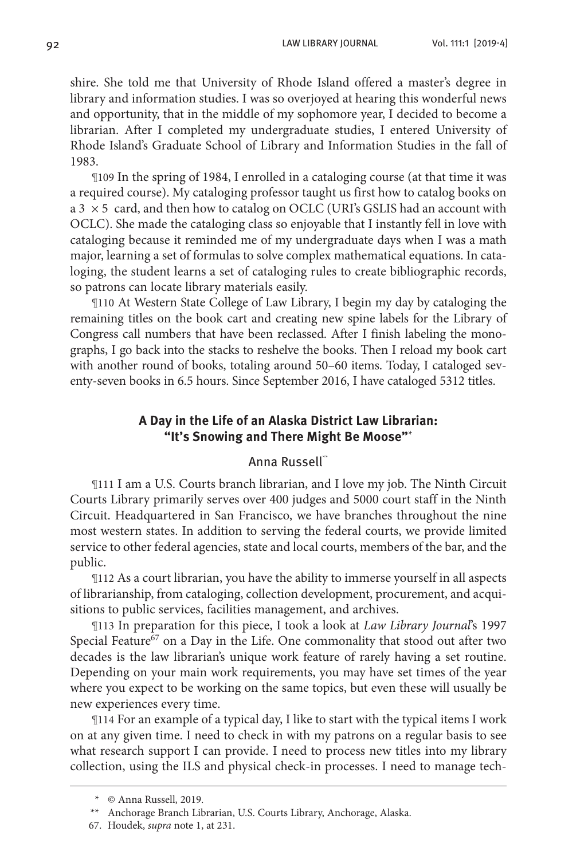shire. She told me that University of Rhode Island offered a master's degree in library and information studies. I was so overjoyed at hearing this wonderful news and opportunity, that in the middle of my sophomore year, I decided to become a librarian. After I completed my undergraduate studies, I entered University of Rhode Island's Graduate School of Library and Information Studies in the fall of 1983.

¶109 In the spring of 1984, I enrolled in a cataloging course (at that time it was a required course). My cataloging professor taught us first how to catalog books on  $a 3 \times 5$  card, and then how to catalog on OCLC (URI's GSLIS had an account with OCLC). She made the cataloging class so enjoyable that I instantly fell in love with cataloging because it reminded me of my undergraduate days when I was a math major, learning a set of formulas to solve complex mathematical equations. In cataloging, the student learns a set of cataloging rules to create bibliographic records, so patrons can locate library materials easily.

¶110 At Western State College of Law Library, I begin my day by cataloging the remaining titles on the book cart and creating new spine labels for the Library of Congress call numbers that have been reclassed. After I finish labeling the monographs, I go back into the stacks to reshelve the books. Then I reload my book cart with another round of books, totaling around 50–60 items. Today, I cataloged seventy-seven books in 6.5 hours. Since September 2016, I have cataloged 5312 titles.

## **A Day in the Life of an Alaska District Law Librarian: "It's Snowing and There Might Be Moose"**\*

#### Anna Russell\*\*

¶111 I am a U.S. Courts branch librarian, and I love my job. The Ninth Circuit Courts Library primarily serves over 400 judges and 5000 court staff in the Ninth Circuit. Headquartered in San Francisco, we have branches throughout the nine most western states. In addition to serving the federal courts, we provide limited service to other federal agencies, state and local courts, members of the bar, and the public.

¶112 As a court librarian, you have the ability to immerse yourself in all aspects of librarianship, from cataloging, collection development, procurement, and acquisitions to public services, facilities management, and archives.

¶113 In preparation for this piece, I took a look at *Law Library Journal*'s 1997 Special Feature<sup>67</sup> on a Day in the Life. One commonality that stood out after two decades is the law librarian's unique work feature of rarely having a set routine. Depending on your main work requirements, you may have set times of the year where you expect to be working on the same topics, but even these will usually be new experiences every time.

¶114 For an example of a typical day, I like to start with the typical items I work on at any given time. I need to check in with my patrons on a regular basis to see what research support I can provide. I need to process new titles into my library collection, using the ILS and physical check-in processes. I need to manage tech-

<sup>\*</sup> © Anna Russell, 2019.

<sup>\*\*</sup> Anchorage Branch Librarian, U.S. Courts Library, Anchorage, Alaska.

<sup>67.</sup> Houdek, *supra* note 1, at 231.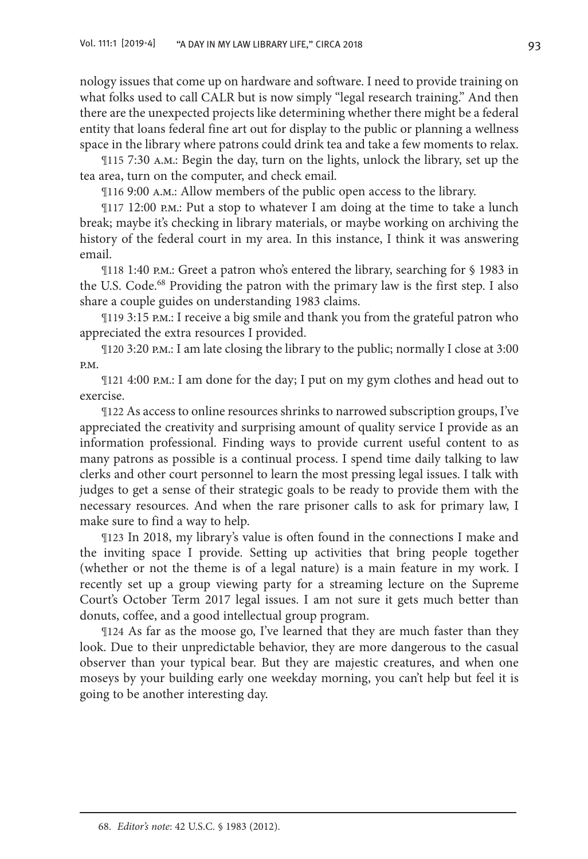nology issues that come up on hardware and software. I need to provide training on what folks used to call CALR but is now simply "legal research training." And then there are the unexpected projects like determining whether there might be a federal entity that loans federal fine art out for display to the public or planning a wellness space in the library where patrons could drink tea and take a few moments to relax.

¶115 7:30 a.m.: Begin the day, turn on the lights, unlock the library, set up the tea area, turn on the computer, and check email.

¶116 9:00 a.m.: Allow members of the public open access to the library.

¶117 12:00 p.m.: Put a stop to whatever I am doing at the time to take a lunch break; maybe it's checking in library materials, or maybe working on archiving the history of the federal court in my area. In this instance, I think it was answering email.

¶118 1:40 p.m.: Greet a patron who's entered the library, searching for § 1983 in the U.S. Code.<sup>68</sup> Providing the patron with the primary law is the first step. I also share a couple guides on understanding 1983 claims.

¶119 3:15 p.m.: I receive a big smile and thank you from the grateful patron who appreciated the extra resources I provided.

¶120 3:20 p.m.: I am late closing the library to the public; normally I close at 3:00 p.m.

¶121 4:00 p.m.: I am done for the day; I put on my gym clothes and head out to exercise.

¶122 As access to online resources shrinks to narrowed subscription groups, I've appreciated the creativity and surprising amount of quality service I provide as an information professional. Finding ways to provide current useful content to as many patrons as possible is a continual process. I spend time daily talking to law clerks and other court personnel to learn the most pressing legal issues. I talk with judges to get a sense of their strategic goals to be ready to provide them with the necessary resources. And when the rare prisoner calls to ask for primary law, I make sure to find a way to help.

¶123 In 2018, my library's value is often found in the connections I make and the inviting space I provide. Setting up activities that bring people together (whether or not the theme is of a legal nature) is a main feature in my work. I recently set up a group viewing party for a streaming lecture on the Supreme Court's October Term 2017 legal issues. I am not sure it gets much better than donuts, coffee, and a good intellectual group program.

¶124 As far as the moose go, I've learned that they are much faster than they look. Due to their unpredictable behavior, they are more dangerous to the casual observer than your typical bear. But they are majestic creatures, and when one moseys by your building early one weekday morning, you can't help but feel it is going to be another interesting day.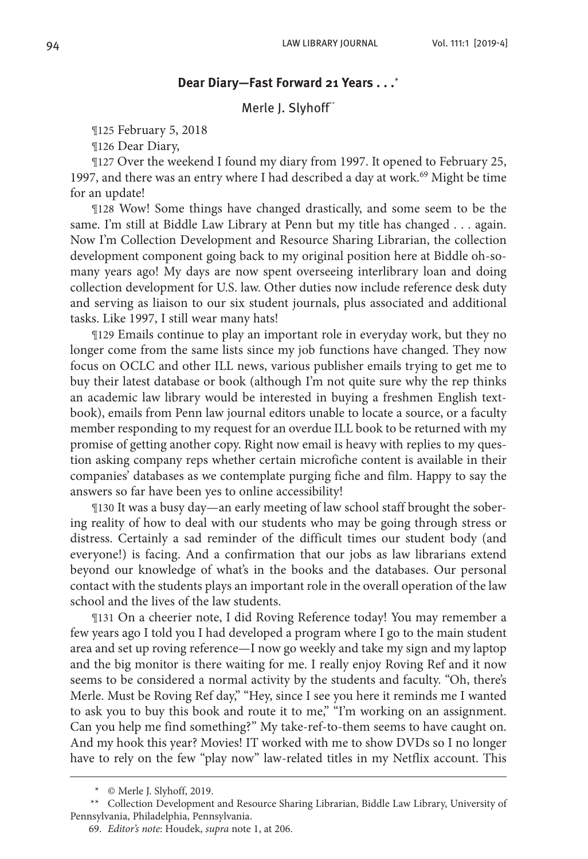## **Dear Diary—Fast Forward 21 Years . . .**\*

#### Merle J. Slyhoff\*\*

¶125 February 5, 2018

¶126 Dear Diary,

¶127 Over the weekend I found my diary from 1997. It opened to February 25, 1997, and there was an entry where I had described a day at work.<sup>69</sup> Might be time for an update!

¶128 Wow! Some things have changed drastically, and some seem to be the same. I'm still at Biddle Law Library at Penn but my title has changed . . . again. Now I'm Collection Development and Resource Sharing Librarian, the collection development component going back to my original position here at Biddle oh-somany years ago! My days are now spent overseeing interlibrary loan and doing collection development for U.S. law. Other duties now include reference desk duty and serving as liaison to our six student journals, plus associated and additional tasks. Like 1997, I still wear many hats!

¶129 Emails continue to play an important role in everyday work, but they no longer come from the same lists since my job functions have changed. They now focus on OCLC and other ILL news, various publisher emails trying to get me to buy their latest database or book (although I'm not quite sure why the rep thinks an academic law library would be interested in buying a freshmen English textbook), emails from Penn law journal editors unable to locate a source, or a faculty member responding to my request for an overdue ILL book to be returned with my promise of getting another copy. Right now email is heavy with replies to my question asking company reps whether certain microfiche content is available in their companies' databases as we contemplate purging fiche and film. Happy to say the answers so far have been yes to online accessibility!

¶130 It was a busy day—an early meeting of law school staff brought the sobering reality of how to deal with our students who may be going through stress or distress. Certainly a sad reminder of the difficult times our student body (and everyone!) is facing. And a confirmation that our jobs as law librarians extend beyond our knowledge of what's in the books and the databases. Our personal contact with the students plays an important role in the overall operation of the law school and the lives of the law students.

¶131 On a cheerier note, I did Roving Reference today! You may remember a few years ago I told you I had developed a program where I go to the main student area and set up roving reference—I now go weekly and take my sign and my laptop and the big monitor is there waiting for me. I really enjoy Roving Ref and it now seems to be considered a normal activity by the students and faculty. "Oh, there's Merle. Must be Roving Ref day," "Hey, since I see you here it reminds me I wanted to ask you to buy this book and route it to me," "I'm working on an assignment. Can you help me find something?" My take-ref-to-them seems to have caught on. And my hook this year? Movies! IT worked with me to show DVDs so I no longer have to rely on the few "play now" law-related titles in my Netflix account. This

<sup>\*</sup> © Merle J. Slyhoff, 2019.

<sup>\*\*</sup> Collection Development and Resource Sharing Librarian, Biddle Law Library, University of Pennsylvania, Philadelphia, Pennsylvania.

<sup>69.</sup> *Editor's note*: Houdek, *supra* note 1, at 206.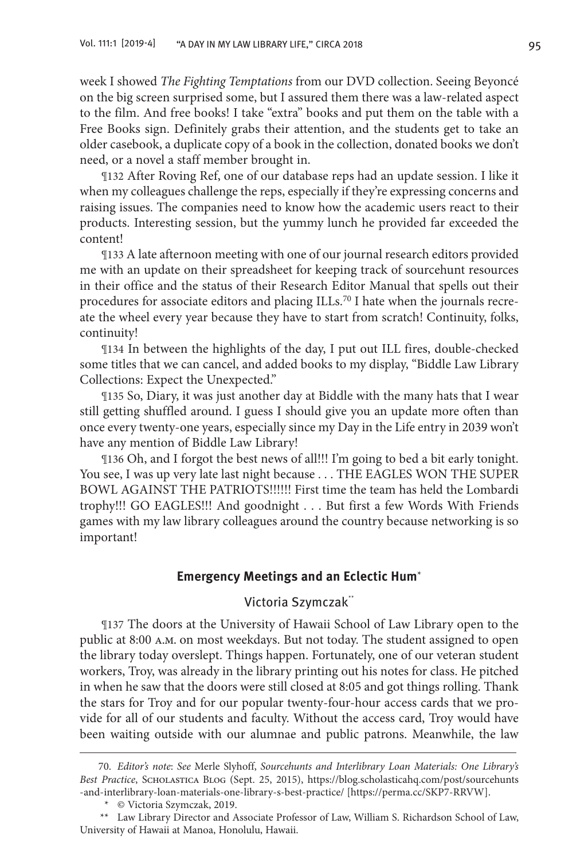week I showed *The Fighting Temptations* from our DVD collection. Seeing Beyoncé on the big screen surprised some, but I assured them there was a law-related aspect to the film. And free books! I take "extra" books and put them on the table with a Free Books sign. Definitely grabs their attention, and the students get to take an older casebook, a duplicate copy of a book in the collection, donated books we don't need, or a novel a staff member brought in.

¶132 After Roving Ref, one of our database reps had an update session. I like it when my colleagues challenge the reps, especially if they're expressing concerns and raising issues. The companies need to know how the academic users react to their products. Interesting session, but the yummy lunch he provided far exceeded the content!

¶133 A late afternoon meeting with one of our journal research editors provided me with an update on their spreadsheet for keeping track of sourcehunt resources in their office and the status of their Research Editor Manual that spells out their procedures for associate editors and placing ILLs.<sup>70</sup> I hate when the journals recreate the wheel every year because they have to start from scratch! Continuity, folks, continuity!

¶134 In between the highlights of the day, I put out ILL fires, double-checked some titles that we can cancel, and added books to my display, "Biddle Law Library Collections: Expect the Unexpected."

¶135 So, Diary, it was just another day at Biddle with the many hats that I wear still getting shuffled around. I guess I should give you an update more often than once every twenty-one years, especially since my Day in the Life entry in 2039 won't have any mention of Biddle Law Library!

¶136 Oh, and I forgot the best news of all!!! I'm going to bed a bit early tonight. You see, I was up very late last night because . . . THE EAGLES WON THE SUPER BOWL AGAINST THE PATRIOTS!!!!!! First time the team has held the Lombardi trophy!!! GO EAGLES!!! And goodnight . . . But first a few Words With Friends games with my law library colleagues around the country because networking is so important!

#### **Emergency Meetings and an Eclectic Hum**\*

## Victoria Szymczak<sup>\*\*</sup>

¶137 The doors at the University of Hawaii School of Law Library open to the public at 8:00 a.m. on most weekdays. But not today. The student assigned to open the library today overslept. Things happen. Fortunately, one of our veteran student workers, Troy, was already in the library printing out his notes for class. He pitched in when he saw that the doors were still closed at 8:05 and got things rolling. Thank the stars for Troy and for our popular twenty-four-hour access cards that we provide for all of our students and faculty. Without the access card, Troy would have been waiting outside with our alumnae and public patrons. Meanwhile, the law

<sup>70.</sup> *Editor's note*: *See* Merle Slyhoff, *Sourcehunts and Interlibrary Loan Materials: One Library's Best Practice*, Scholastica Blog (Sept. 25, 2015), https://blog.scholasticahq.com/post/sourcehunts -and-interlibrary-loan-materials-one-library-s-best-practice/ [https://perma.cc/SKP7-RRVW].

<sup>\*</sup> © Victoria Szymczak, 2019.

<sup>\*\*</sup> Law Library Director and Associate Professor of Law, William S. Richardson School of Law, University of Hawaii at Manoa, Honolulu, Hawaii.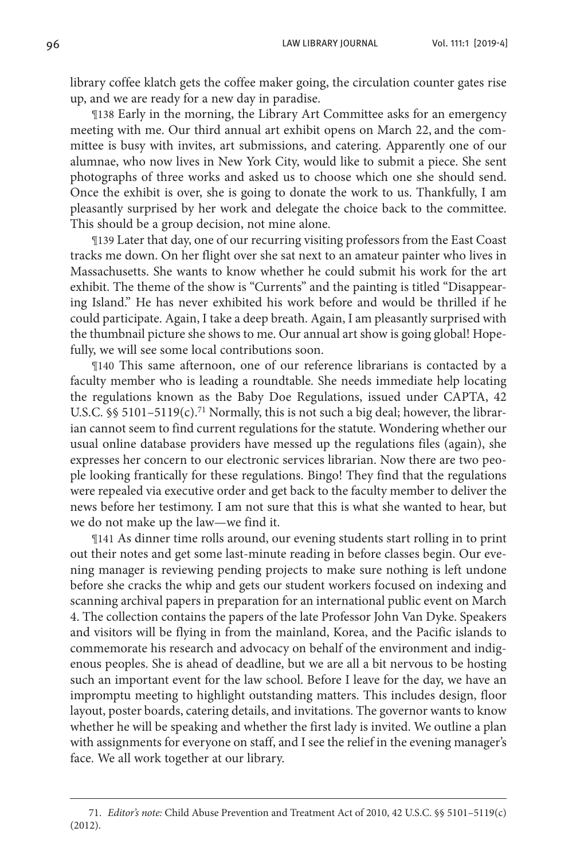library coffee klatch gets the coffee maker going, the circulation counter gates rise up, and we are ready for a new day in paradise.

¶138 Early in the morning, the Library Art Committee asks for an emergency meeting with me. Our third annual art exhibit opens on March 22, and the committee is busy with invites, art submissions, and catering. Apparently one of our alumnae, who now lives in New York City, would like to submit a piece. She sent photographs of three works and asked us to choose which one she should send. Once the exhibit is over, she is going to donate the work to us. Thankfully, I am pleasantly surprised by her work and delegate the choice back to the committee. This should be a group decision, not mine alone.

¶139 Later that day, one of our recurring visiting professors from the East Coast tracks me down. On her flight over she sat next to an amateur painter who lives in Massachusetts. She wants to know whether he could submit his work for the art exhibit. The theme of the show is "Currents" and the painting is titled "Disappearing Island." He has never exhibited his work before and would be thrilled if he could participate. Again, I take a deep breath. Again, I am pleasantly surprised with the thumbnail picture she shows to me. Our annual art show is going global! Hopefully, we will see some local contributions soon.

¶140 This same afternoon, one of our reference librarians is contacted by a faculty member who is leading a roundtable. She needs immediate help locating the regulations known as the Baby Doe Regulations, issued under CAPTA, 42 U.S.C.  $\frac{1}{2}$  5101–5119(c).<sup>71</sup> Normally, this is not such a big deal; however, the librarian cannot seem to find current regulations for the statute. Wondering whether our usual online database providers have messed up the regulations files (again), she expresses her concern to our electronic services librarian. Now there are two people looking frantically for these regulations. Bingo! They find that the regulations were repealed via executive order and get back to the faculty member to deliver the news before her testimony. I am not sure that this is what she wanted to hear, but we do not make up the law—we find it.

¶141 As dinner time rolls around, our evening students start rolling in to print out their notes and get some last-minute reading in before classes begin. Our evening manager is reviewing pending projects to make sure nothing is left undone before she cracks the whip and gets our student workers focused on indexing and scanning archival papers in preparation for an international public event on March 4. The collection contains the papers of the late Professor John Van Dyke. Speakers and visitors will be flying in from the mainland, Korea, and the Pacific islands to commemorate his research and advocacy on behalf of the environment and indigenous peoples. She is ahead of deadline, but we are all a bit nervous to be hosting such an important event for the law school. Before I leave for the day, we have an impromptu meeting to highlight outstanding matters. This includes design, floor layout, poster boards, catering details, and invitations. The governor wants to know whether he will be speaking and whether the first lady is invited. We outline a plan with assignments for everyone on staff, and I see the relief in the evening manager's face. We all work together at our library.

<sup>71.</sup> *Editor's note:* Child Abuse Prevention and Treatment Act of 2010, 42 U.S.C. §§ 5101–5119(c) (2012).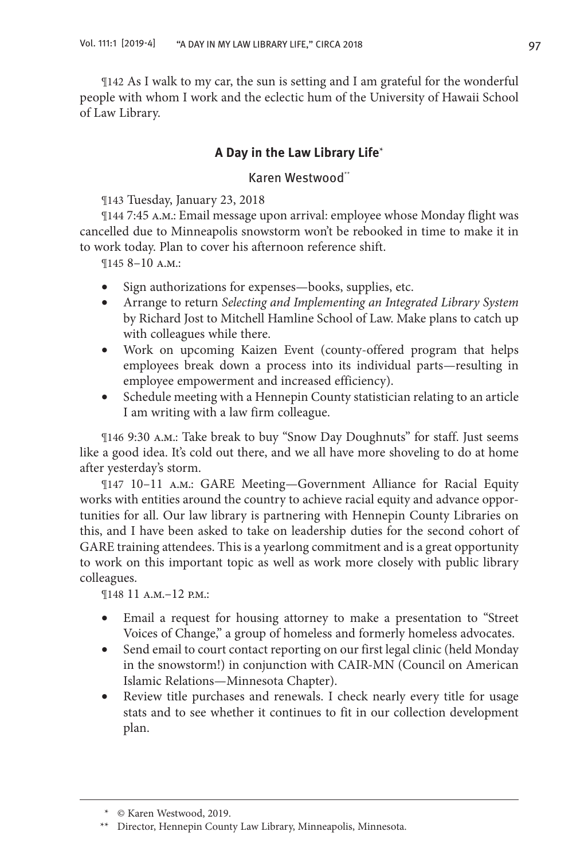¶142 As I walk to my car, the sun is setting and I am grateful for the wonderful people with whom I work and the eclectic hum of the University of Hawaii School of Law Library.

## **A Day in the Law Library Life**\*

## Karen Westwood\*\*

¶143 Tuesday, January 23, 2018

¶144 7:45 a.m.: Email message upon arrival: employee whose Monday flight was cancelled due to Minneapolis snowstorm won't be rebooked in time to make it in to work today. Plan to cover his afternoon reference shift.

¶145 8–10 a.m.:

- Sign authorizations for expenses—books, supplies, etc.
- • Arrange to return *Selecting and Implementing an Integrated Library System* by Richard Jost to Mitchell Hamline School of Law. Make plans to catch up with colleagues while there.
- Work on upcoming Kaizen Event (county-offered program that helps employees break down a process into its individual parts—resulting in employee empowerment and increased efficiency).
- Schedule meeting with a Hennepin County statistician relating to an article I am writing with a law firm colleague.

¶146 9:30 a.m.: Take break to buy "Snow Day Doughnuts" for staff. Just seems like a good idea. It's cold out there, and we all have more shoveling to do at home after yesterday's storm.

¶147 10–11 a.m.: GARE Meeting—Government Alliance for Racial Equity works with entities around the country to achieve racial equity and advance opportunities for all. Our law library is partnering with Hennepin County Libraries on this, and I have been asked to take on leadership duties for the second cohort of GARE training attendees. This is a yearlong commitment and is a great opportunity to work on this important topic as well as work more closely with public library colleagues.

¶148 11 a.m.–12 p.m.:

- Email a request for housing attorney to make a presentation to "Street" Voices of Change," a group of homeless and formerly homeless advocates.
- Send email to court contact reporting on our first legal clinic (held Monday in the snowstorm!) in conjunction with CAIR-MN (Council on American Islamic Relations—Minnesota Chapter).
- Review title purchases and renewals. I check nearly every title for usage stats and to see whether it continues to fit in our collection development plan.

<sup>\*</sup> © Karen Westwood, 2019.

<sup>\*\*</sup> Director, Hennepin County Law Library, Minneapolis, Minnesota.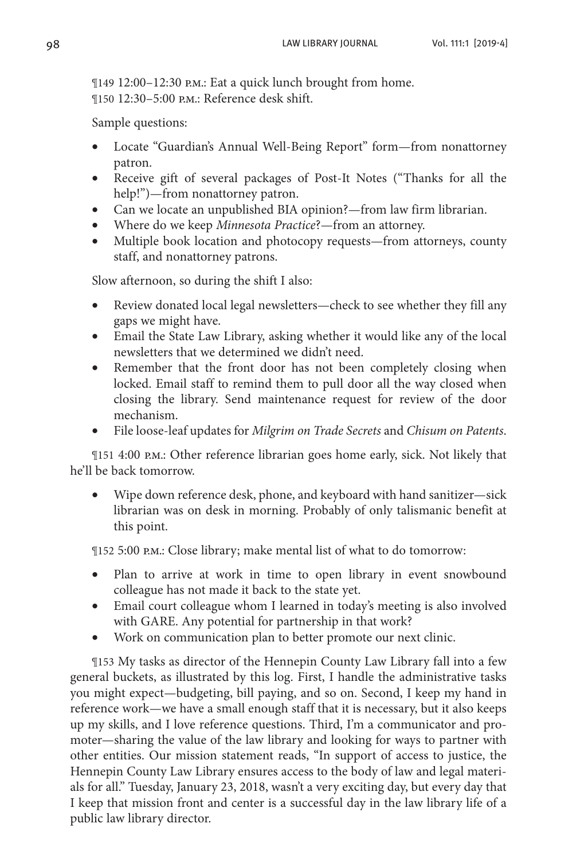¶149 12:00–12:30 p.m.: Eat a quick lunch brought from home. ¶150 12:30–5:00 p.m.: Reference desk shift.

Sample questions:

- Locate "Guardian's Annual Well-Being Report" form—from nonattorney patron.
- Receive gift of several packages of Post-It Notes ("Thanks for all the help!")—from nonattorney patron.
- Can we locate an unpublished BIA opinion?—from law firm librarian.
- • Where do we keep *Minnesota Practice*?—from an attorney.
- Multiple book location and photocopy requests—from attorneys, county staff, and nonattorney patrons.

Slow afternoon, so during the shift I also:

- Review donated local legal newsletters—check to see whether they fill any gaps we might have.
- Email the State Law Library, asking whether it would like any of the local newsletters that we determined we didn't need.
- Remember that the front door has not been completely closing when locked. Email staff to remind them to pull door all the way closed when closing the library. Send maintenance request for review of the door mechanism.
- File loose-leaf updates for *Milgrim on Trade Secrets* and *Chisum on Patents*.

¶151 4:00 p.m.: Other reference librarian goes home early, sick. Not likely that he'll be back tomorrow.

Wipe down reference desk, phone, and keyboard with hand sanitizer—sick librarian was on desk in morning. Probably of only talismanic benefit at this point.

¶152 5:00 p.m.: Close library; make mental list of what to do tomorrow:

- Plan to arrive at work in time to open library in event snowbound colleague has not made it back to the state yet.
- Email court colleague whom I learned in today's meeting is also involved with GARE. Any potential for partnership in that work?
- Work on communication plan to better promote our next clinic.

¶153 My tasks as director of the Hennepin County Law Library fall into a few general buckets, as illustrated by this log. First, I handle the administrative tasks you might expect—budgeting, bill paying, and so on. Second, I keep my hand in reference work—we have a small enough staff that it is necessary, but it also keeps up my skills, and I love reference questions. Third, I'm a communicator and promoter—sharing the value of the law library and looking for ways to partner with other entities. Our mission statement reads, "In support of access to justice, the Hennepin County Law Library ensures access to the body of law and legal materials for all." Tuesday, January 23, 2018, wasn't a very exciting day, but every day that I keep that mission front and center is a successful day in the law library life of a public law library director.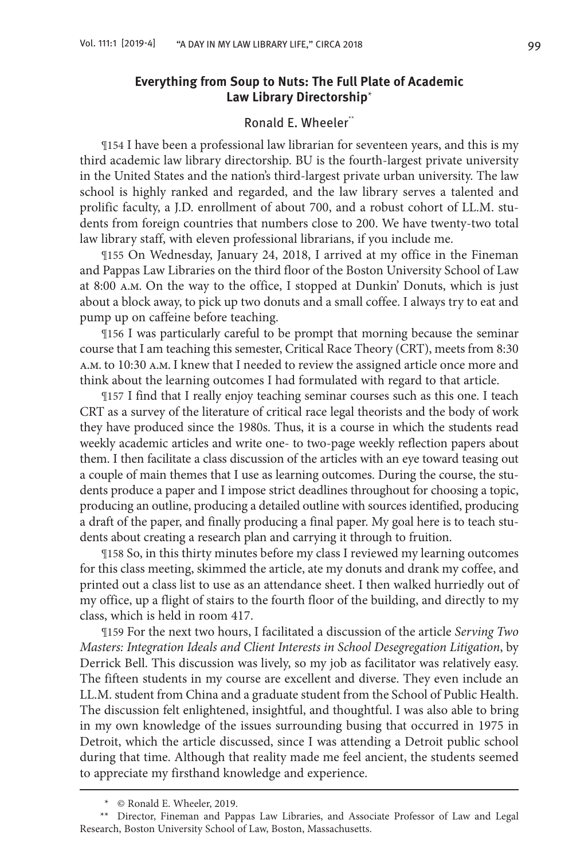## **Everything from Soup to Nuts: The Full Plate of Academic Law Library Directorship**\*

## Ronald E. Wheeler\*\*

¶154 I have been a professional law librarian for seventeen years, and this is my third academic law library directorship. BU is the fourth-largest private university in the United States and the nation's third-largest private urban university. The law school is highly ranked and regarded, and the law library serves a talented and prolific faculty, a J.D. enrollment of about 700, and a robust cohort of LL.M. students from foreign countries that numbers close to 200. We have twenty-two total law library staff, with eleven professional librarians, if you include me.

¶155 On Wednesday, January 24, 2018, I arrived at my office in the Fineman and Pappas Law Libraries on the third floor of the Boston University School of Law at 8:00 a.m. On the way to the office, I stopped at Dunkin' Donuts, which is just about a block away, to pick up two donuts and a small coffee. I always try to eat and pump up on caffeine before teaching.

¶156 I was particularly careful to be prompt that morning because the seminar course that I am teaching this semester, Critical Race Theory (CRT), meets from 8:30 a.m. to 10:30 a.m. I knew that I needed to review the assigned article once more and think about the learning outcomes I had formulated with regard to that article.

¶157 I find that I really enjoy teaching seminar courses such as this one. I teach CRT as a survey of the literature of critical race legal theorists and the body of work they have produced since the 1980s. Thus, it is a course in which the students read weekly academic articles and write one- to two-page weekly reflection papers about them. I then facilitate a class discussion of the articles with an eye toward teasing out a couple of main themes that I use as learning outcomes. During the course, the students produce a paper and I impose strict deadlines throughout for choosing a topic, producing an outline, producing a detailed outline with sources identified, producing a draft of the paper, and finally producing a final paper. My goal here is to teach students about creating a research plan and carrying it through to fruition.

¶158 So, in this thirty minutes before my class I reviewed my learning outcomes for this class meeting, skimmed the article, ate my donuts and drank my coffee, and printed out a class list to use as an attendance sheet. I then walked hurriedly out of my office, up a flight of stairs to the fourth floor of the building, and directly to my class, which is held in room 417.

¶159 For the next two hours, I facilitated a discussion of the article *Serving Two Masters: Integration Ideals and Client Interests in School Desegregation Litigation*, by Derrick Bell. This discussion was lively, so my job as facilitator was relatively easy. The fifteen students in my course are excellent and diverse. They even include an LL.M. student from China and a graduate student from the School of Public Health. The discussion felt enlightened, insightful, and thoughtful. I was also able to bring in my own knowledge of the issues surrounding busing that occurred in 1975 in Detroit, which the article discussed, since I was attending a Detroit public school during that time. Although that reality made me feel ancient, the students seemed to appreciate my firsthand knowledge and experience.

<sup>\*</sup> © Ronald E. Wheeler, 2019.

<sup>\*\*</sup> Director, Fineman and Pappas Law Libraries, and Associate Professor of Law and Legal Research, Boston University School of Law, Boston, Massachusetts.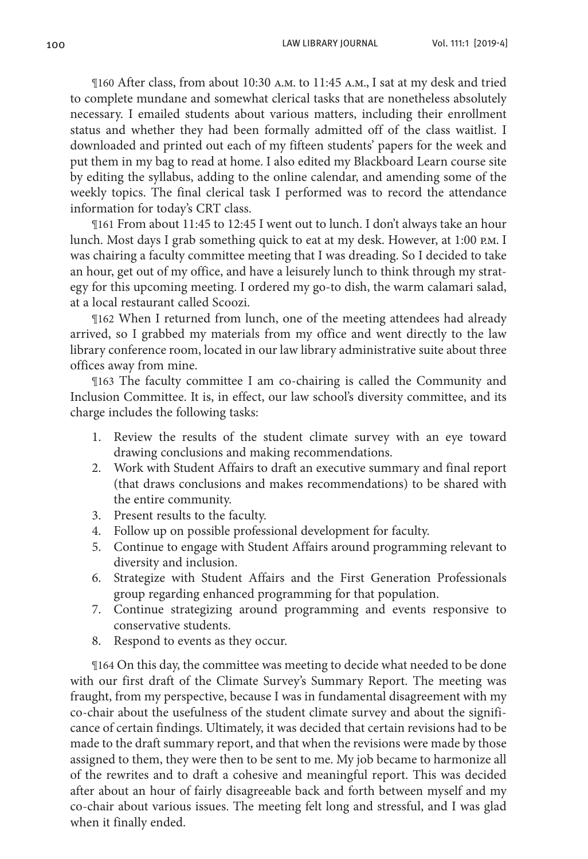¶160 After class, from about 10:30 a.m. to 11:45 a.m., I sat at my desk and tried to complete mundane and somewhat clerical tasks that are nonetheless absolutely necessary. I emailed students about various matters, including their enrollment status and whether they had been formally admitted off of the class waitlist. I downloaded and printed out each of my fifteen students' papers for the week and put them in my bag to read at home. I also edited my Blackboard Learn course site by editing the syllabus, adding to the online calendar, and amending some of the weekly topics. The final clerical task I performed was to record the attendance information for today's CRT class.

¶161 From about 11:45 to 12:45 I went out to lunch. I don't always take an hour lunch. Most days I grab something quick to eat at my desk. However, at 1:00 p.m. I was chairing a faculty committee meeting that I was dreading. So I decided to take an hour, get out of my office, and have a leisurely lunch to think through my strategy for this upcoming meeting. I ordered my go-to dish, the warm calamari salad, at a local restaurant called Scoozi.

¶162 When I returned from lunch, one of the meeting attendees had already arrived, so I grabbed my materials from my office and went directly to the law library conference room, located in our law library administrative suite about three offices away from mine.

¶163 The faculty committee I am co-chairing is called the Community and Inclusion Committee. It is, in effect, our law school's diversity committee, and its charge includes the following tasks:

- 1. Review the results of the student climate survey with an eye toward drawing conclusions and making recommendations.
- 2. Work with Student Affairs to draft an executive summary and final report (that draws conclusions and makes recommendations) to be shared with the entire community.
- 3. Present results to the faculty.
- 4. Follow up on possible professional development for faculty.
- 5. Continue to engage with Student Affairs around programming relevant to diversity and inclusion.
- 6. Strategize with Student Affairs and the First Generation Professionals group regarding enhanced programming for that population.
- 7. Continue strategizing around programming and events responsive to conservative students.
- 8. Respond to events as they occur.

¶164 On this day, the committee was meeting to decide what needed to be done with our first draft of the Climate Survey's Summary Report. The meeting was fraught, from my perspective, because I was in fundamental disagreement with my co-chair about the usefulness of the student climate survey and about the significance of certain findings. Ultimately, it was decided that certain revisions had to be made to the draft summary report, and that when the revisions were made by those assigned to them, they were then to be sent to me. My job became to harmonize all of the rewrites and to draft a cohesive and meaningful report. This was decided after about an hour of fairly disagreeable back and forth between myself and my co-chair about various issues. The meeting felt long and stressful, and I was glad when it finally ended.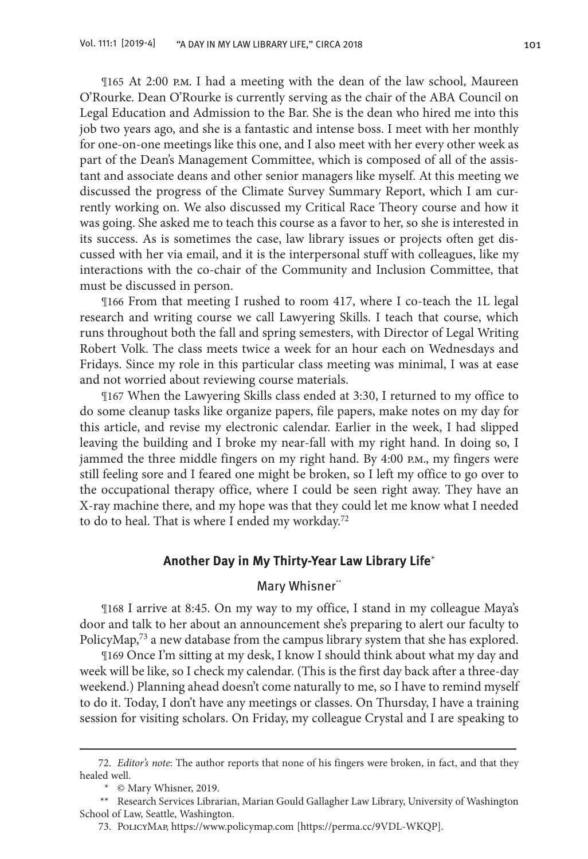¶165 At 2:00 p.m. I had a meeting with the dean of the law school, Maureen O'Rourke. Dean O'Rourke is currently serving as the chair of the ABA Council on Legal Education and Admission to the Bar. She is the dean who hired me into this job two years ago, and she is a fantastic and intense boss. I meet with her monthly for one-on-one meetings like this one, and I also meet with her every other week as part of the Dean's Management Committee, which is composed of all of the assistant and associate deans and other senior managers like myself. At this meeting we discussed the progress of the Climate Survey Summary Report, which I am currently working on. We also discussed my Critical Race Theory course and how it was going. She asked me to teach this course as a favor to her, so she is interested in its success. As is sometimes the case, law library issues or projects often get discussed with her via email, and it is the interpersonal stuff with colleagues, like my interactions with the co-chair of the Community and Inclusion Committee, that must be discussed in person.

¶166 From that meeting I rushed to room 417, where I co-teach the 1L legal research and writing course we call Lawyering Skills. I teach that course, which runs throughout both the fall and spring semesters, with Director of Legal Writing Robert Volk. The class meets twice a week for an hour each on Wednesdays and Fridays. Since my role in this particular class meeting was minimal, I was at ease and not worried about reviewing course materials.

¶167 When the Lawyering Skills class ended at 3:30, I returned to my office to do some cleanup tasks like organize papers, file papers, make notes on my day for this article, and revise my electronic calendar. Earlier in the week, I had slipped leaving the building and I broke my near-fall with my right hand. In doing so, I jammed the three middle fingers on my right hand. By 4:00 p.m., my fingers were still feeling sore and I feared one might be broken, so I left my office to go over to the occupational therapy office, where I could be seen right away. They have an X-ray machine there, and my hope was that they could let me know what I needed to do to heal. That is where I ended my workday. $72$ 

#### **Another Day in My Thirty-Year Law Library Life**\*

## Mary Whisner\*\*

¶168 I arrive at 8:45. On my way to my office, I stand in my colleague Maya's door and talk to her about an announcement she's preparing to alert our faculty to PolicyMap,<sup>73</sup> a new database from the campus library system that she has explored.

¶169 Once I'm sitting at my desk, I know I should think about what my day and week will be like, so I check my calendar. (This is the first day back after a three-day weekend.) Planning ahead doesn't come naturally to me, so I have to remind myself to do it. Today, I don't have any meetings or classes. On Thursday, I have a training session for visiting scholars. On Friday, my colleague Crystal and I are speaking to

<sup>72.</sup> *Editor's note*: The author reports that none of his fingers were broken, in fact, and that they healed well.

<sup>\*</sup> © Mary Whisner, 2019.

<sup>\*\*</sup> Research Services Librarian, Marian Gould Gallagher Law Library, University of Washington School of Law, Seattle, Washington.

<sup>73.</sup> PolicyMap, https://www.policymap.com [https://perma.cc/9VDL-WKQP].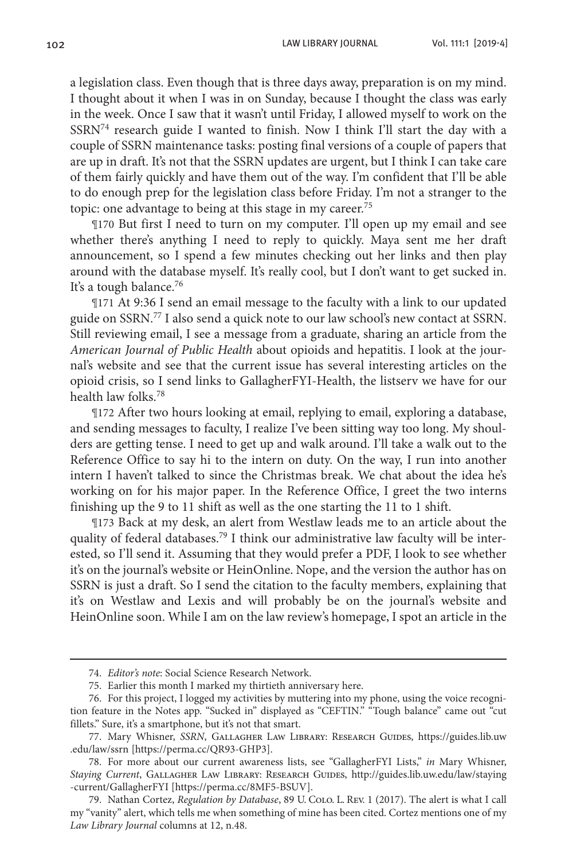a legislation class. Even though that is three days away, preparation is on my mind. I thought about it when I was in on Sunday, because I thought the class was early in the week. Once I saw that it wasn't until Friday, I allowed myself to work on the SSRN74 research guide I wanted to finish. Now I think I'll start the day with a couple of SSRN maintenance tasks: posting final versions of a couple of papers that are up in draft. It's not that the SSRN updates are urgent, but I think I can take care of them fairly quickly and have them out of the way. I'm confident that I'll be able to do enough prep for the legislation class before Friday. I'm not a stranger to the topic: one advantage to being at this stage in my career.<sup>75</sup>

¶170 But first I need to turn on my computer. I'll open up my email and see whether there's anything I need to reply to quickly. Maya sent me her draft announcement, so I spend a few minutes checking out her links and then play around with the database myself. It's really cool, but I don't want to get sucked in. It's a tough balance.<sup>76</sup>

¶171 At 9:36 I send an email message to the faculty with a link to our updated guide on SSRN.77 I also send a quick note to our law school's new contact at SSRN. Still reviewing email, I see a message from a graduate, sharing an article from the *American Journal of Public Health* about opioids and hepatitis. I look at the journal's website and see that the current issue has several interesting articles on the opioid crisis, so I send links to GallagherFYI-Health, the listserv we have for our health law folks.78

¶172 After two hours looking at email, replying to email, exploring a database, and sending messages to faculty, I realize I've been sitting way too long. My shoulders are getting tense. I need to get up and walk around. I'll take a walk out to the Reference Office to say hi to the intern on duty. On the way, I run into another intern I haven't talked to since the Christmas break. We chat about the idea he's working on for his major paper. In the Reference Office, I greet the two interns finishing up the 9 to 11 shift as well as the one starting the 11 to 1 shift.

¶173 Back at my desk, an alert from Westlaw leads me to an article about the quality of federal databases.<sup>79</sup> I think our administrative law faculty will be interested, so I'll send it. Assuming that they would prefer a PDF, I look to see whether it's on the journal's website or HeinOnline. Nope, and the version the author has on SSRN is just a draft. So I send the citation to the faculty members, explaining that it's on Westlaw and Lexis and will probably be on the journal's website and HeinOnline soon. While I am on the law review's homepage, I spot an article in the

<sup>74.</sup> *Editor's note*: Social Science Research Network.

<sup>75.</sup> Earlier this month I marked my thirtieth anniversary here.

<sup>76.</sup> For this project, I logged my activities by muttering into my phone, using the voice recognition feature in the Notes app. "Sucked in" displayed as "CEFTIN." "Tough balance" came out "cut fillets." Sure, it's a smartphone, but it's not that smart.

<sup>77.</sup> Mary Whisner, *SSRN*, Gallagher Law Library: Research Guides, https://guides.lib.uw .edu/law/ssrn [https://perma.cc/QR93-GHP3].

<sup>78.</sup> For more about our current awareness lists, see "GallagherFYI Lists," *in* Mary Whisner, *Staying Current*, Gallagher Law Library: Research Guides, http://guides.lib.uw.edu/law/staying -current/GallagherFYI [https://perma.cc/8MF5-BSUV].

<sup>79.</sup> Nathan Cortez, *Regulation by Database*, 89 U. Colo. L. Rev. 1 (2017). The alert is what I call my "vanity" alert, which tells me when something of mine has been cited. Cortez mentions one of my *Law Library Journal* columns at 12, n.48.